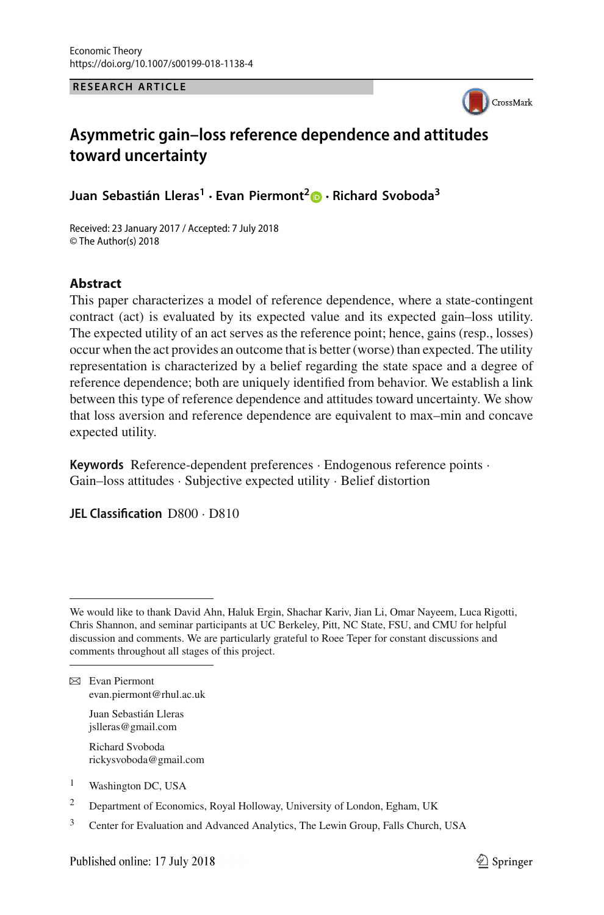**RESEARCH ARTICLE**



# **Asymmetric gain–loss reference dependence and attitudes toward uncertainty**

**Juan Sebastián Lleras<sup>1</sup> · Evan Piermont[2](http://orcid.org/0000-0002-4189-5504) · Richard Svoboda3**

Received: 23 January 2017 / Accepted: 7 July 2018 © The Author(s) 2018

# **Abstract**

This paper characterizes a model of reference dependence, where a state-contingent contract (act) is evaluated by its expected value and its expected gain–loss utility. The expected utility of an act serves as the reference point; hence, gains (resp., losses) occur when the act provides an outcome that is better (worse) than expected. The utility representation is characterized by a belief regarding the state space and a degree of reference dependence; both are uniquely identified from behavior. We establish a link between this type of reference dependence and attitudes toward uncertainty. We show that loss aversion and reference dependence are equivalent to max–min and concave expected utility.

**Keywords** Reference-dependent preferences · Endogenous reference points · Gain–loss attitudes · Subjective expected utility · Belief distortion

**JEL Classification** D800 · D810

- Juan Sebastián Lleras jslleras@gmail.com
- Richard Svoboda rickysvoboda@gmail.com
- <sup>1</sup> Washington DC, USA
- <sup>2</sup> Department of Economics, Royal Holloway, University of London, Egham, UK
- <sup>3</sup> Center for Evaluation and Advanced Analytics, The Lewin Group, Falls Church, USA

We would like to thank David Ahn, Haluk Ergin, Shachar Kariv, Jian Li, Omar Nayeem, Luca Rigotti, Chris Shannon, and seminar participants at UC Berkeley, Pitt, NC State, FSU, and CMU for helpful discussion and comments. We are particularly grateful to Roee Teper for constant discussions and comments throughout all stages of this project.

 $⊠$  Evan Piermont evan.piermont@rhul.ac.uk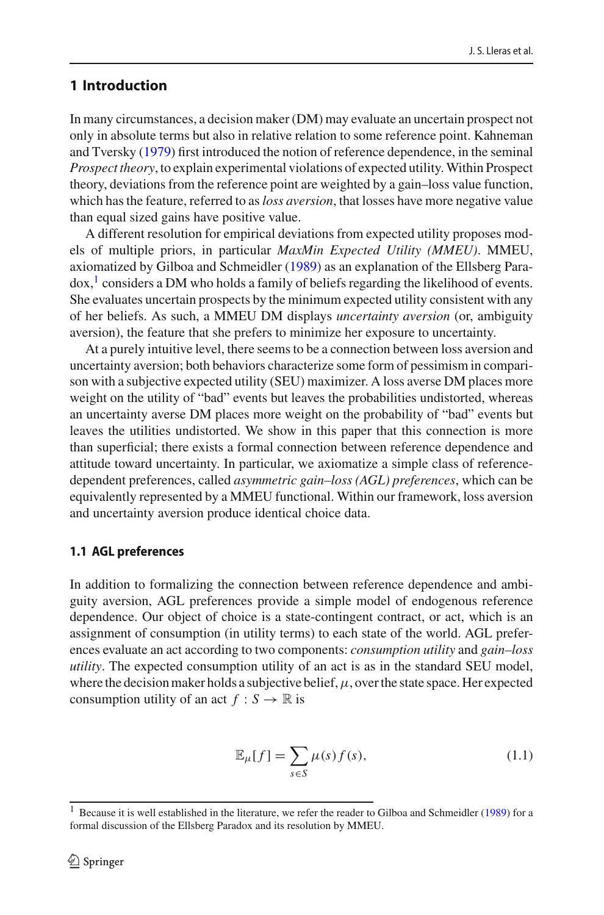# **1 Introduction**

In many circumstances, a decision maker (DM) may evaluate an uncertain prospect not only in absolute terms but also in relative relation to some reference point. Kahneman and Tversk[y](#page-30-0) [\(1979](#page-30-0)) first introduced the notion of reference dependence, in the seminal *Prospect theory*, to explain experimental violations of expected utility. Within Prospect theory, deviations from the reference point are weighted by a gain–loss value function, which has the feature, referred to as*loss aversion*, that losses have more negative value than equal sized gains have positive value.

A different resolution for empirical deviations from expected utility proposes models of multiple priors, in particular *MaxMin Expected Utility (MMEU)*. MMEU, axiomatized by Gilboa and Schmeidle[r](#page-30-1) [\(1989\)](#page-30-1) as an explanation of the Ellsberg Para $d\alpha$ ,<sup>[1](#page-1-0)</sup> considers a DM who holds a family of beliefs regarding the likelihood of events. She evaluates uncertain prospects by the minimum expected utility consistent with any of her beliefs. As such, a MMEU DM displays *uncertainty aversion* (or, ambiguity aversion), the feature that she prefers to minimize her exposure to uncertainty.

At a purely intuitive level, there seems to be a connection between loss aversion and uncertainty aversion; both behaviors characterize some form of pessimism in comparison with a subjective expected utility (SEU) maximizer. A loss averse DM places more weight on the utility of "bad" events but leaves the probabilities undistorted, whereas an uncertainty averse DM places more weight on the probability of "bad" events but leaves the utilities undistorted. We show in this paper that this connection is more than superficial; there exists a formal connection between reference dependence and attitude toward uncertainty. In particular, we axiomatize a simple class of referencedependent preferences, called *asymmetric gain–loss (AGL) preferences*, which can be equivalently represented by a MMEU functional. Within our framework, loss aversion and uncertainty aversion produce identical choice data.

## **1.1 AGL preferences**

In addition to formalizing the connection between reference dependence and ambiguity aversion, AGL preferences provide a simple model of endogenous reference dependence. Our object of choice is a state-contingent contract, or act, which is an assignment of consumption (in utility terms) to each state of the world. AGL preferences evaluate an act according to two components: *consumption utility* and *gain–loss utility*. The expected consumption utility of an act is as in the standard SEU model, where the decision maker holds a subjective belief,  $\mu$ , over the state space. Her expected consumption utility of an act  $f : S \to \mathbb{R}$  is

<span id="page-1-1"></span>
$$
\mathbb{E}_{\mu}[f] = \sum_{s \in S} \mu(s) f(s),\tag{1.1}
$$

<span id="page-1-0"></span><sup>&</sup>lt;sup>1</sup> Because it is well established in the lite[r](#page-30-1)ature, we refer the reader to Gilboa and Schmeidler [\(1989\)](#page-30-1) for a formal discussion of the Ellsberg Paradox and its resolution by MMEU.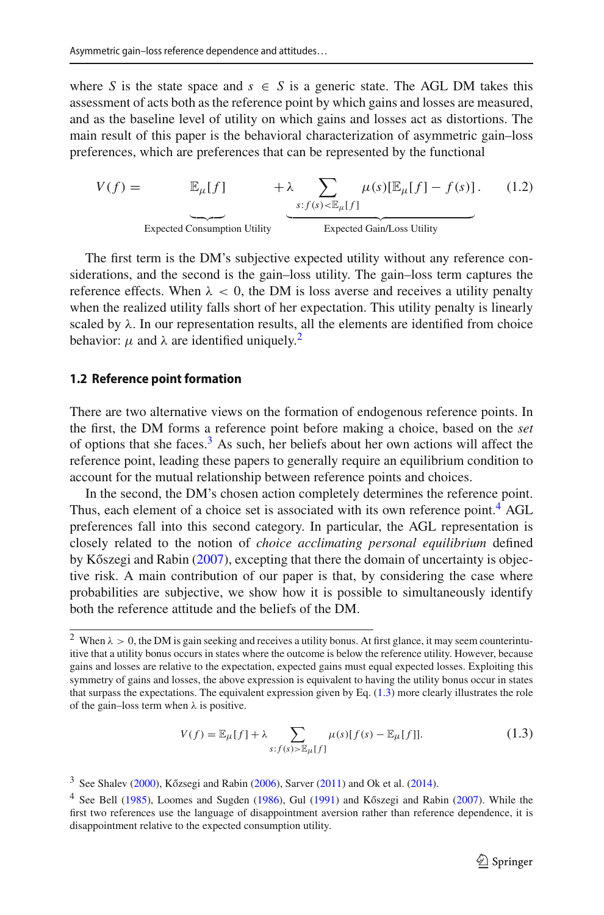where *S* is the state space and  $s \in S$  is a generic state. The AGL DM takes this assessment of acts both as the reference point by which gains and losses are measured, and as the baseline level of utility on which gains and losses act as distortions. The main result of this paper is the behavioral characterization of asymmetric gain–loss preferences, which are preferences that can be represented by the functional

<span id="page-2-4"></span>
$$
V(f) = \mathbb{E}_{\mu}[f] + \lambda \sum_{s:f(s) < \mathbb{E}_{\mu}[f]} \mu(s)[\mathbb{E}_{\mu}[f] - f(s)]. \tag{1.2}
$$
\nExpected consumption Utility\nExpected Gain/Loss Utility

The first term is the DM's subjective expected utility without any reference considerations, and the second is the gain–loss utility. The gain–loss term captures the reference effects. When  $\lambda < 0$ , the DM is loss averse and receives a utility penalty when the realized utility falls short of her expectation. This utility penalty is linearly scaled by  $\lambda$ . In our representation results, all the elements are identified from choice behavior:  $\mu$  and  $\lambda$  are identified uniquely.<sup>2</sup>

#### <span id="page-2-5"></span>**1.2 Reference point formation**

There are two alternative views on the formation of endogenous reference points. In the first, the DM forms a reference point before making a choice, based on the *set* of options that she faces. $3$  As such, her beliefs about her own actions will affect the reference point, leading these papers to generally require an equilibrium condition to account for the mutual relationship between reference points and choices.

In the second, the DM's chosen action completely determines the reference point. Thus, each element of a choice set is associated with its own reference point.<sup>[4](#page-2-2)</sup> AGL preferences fall into this second category. In particular, the AGL representation is closely related to the notion of *choice acclimating personal equilibrium* defined by Kőszegi a[n](#page-30-2)d Rabin  $(2007)$  $(2007)$ , excepting that there the domain of uncertainty is objective risk. A main contribution of our paper is that, by considering the case where probabilities are subjective, we show how it is possible to simultaneously identify both the reference attitude and the beliefs of the DM.

<span id="page-2-3"></span>
$$
V(f) = \mathbb{E}_{\mu}[f] + \lambda \sum_{s: f(s) > \mathbb{E}_{\mu}[f]} \mu(s)[f(s) - \mathbb{E}_{\mu}[f]].
$$
\n(1.3)

<span id="page-2-0"></span><sup>&</sup>lt;sup>2</sup> When  $\lambda > 0$ , the DM is gain seeking and receives a utility bonus. At first glance, it may seem counterintuitive that a utility bonus occurs in states where the outcome is below the reference utility. However, because gains and losses are relative to the expectation, expected gains must equal expected losses. Exploiting this symmetry of gains and losses, the above expression is equivalent to having the utility bonus occur in states that surpass the expectations. The equivalent expression given by Eq. [\(1.3\)](#page-2-3) more clearly illustrates the role of the gain–loss term when  $\lambda$  is positive.

 $3$  See Shale[v](#page-30-3) [\(2000](#page-30-3)), Kőzsegi a[n](#page-30-4)d Rabin [\(2006](#page-30-4)), Sa[r](#page-30-5)ver [\(2011\)](#page-30-5) and Ok et al[.](#page-30-6) [\(2014\)](#page-30-6).

<span id="page-2-2"></span><span id="page-2-1"></span><sup>&</sup>lt;sup>4</sup> See Be[l](#page-30-8)l [\(1985](#page-29-0)), Loomes a[n](#page-30-2)d Sugden [\(1986](#page-30-7)), Gul [\(1991](#page-30-8)) and Kőszegi and Rabin [\(2007](#page-30-2)). While the first two references use the language of disappointment aversion rather than reference dependence, it is disappointment relative to the expected consumption utility.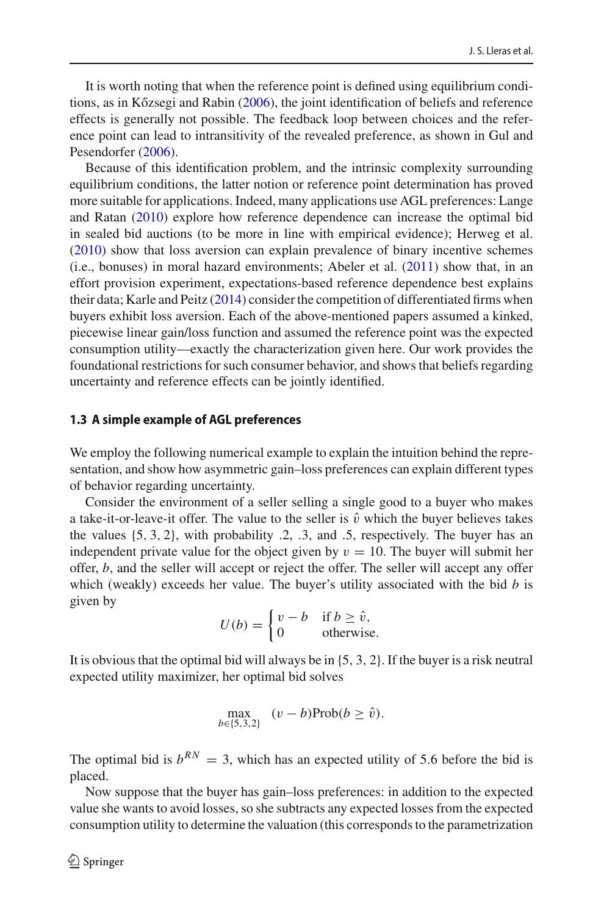It is worth noting that when the reference point is defined using equilibrium conditio[n](#page-30-4)s, as in Kőzsegi and Rabin [\(2006\)](#page-30-4), the joint identification of beliefs and reference effects is generally not possible. The feedback loop between choices and the reference point can lead to intransitivity of the revealed preference, as shown in Gul and Pesendorfe[r](#page-30-9) [\(2006](#page-30-9)).

Because of this identification problem, and the intrinsic complexity surrounding equilibrium conditions, the latter notion or reference point determination has proved more suitable for applications. Indeed, many applications use AGL preferences: Lange and Rata[n](#page-30-10) [\(2010\)](#page-30-10) explore how reference dependence can increase the optimal bid in sealed bid auctions (to be more in line with empirical evidence); Herweg et al[.](#page-30-11) [\(2010\)](#page-30-11) show that loss aversion can explain prevalence of binary incentive schemes  $(i.e.,$  $(i.e.,$  $(i.e.,$  bonuses) in moral hazard environments; Abeler et al.  $(2011)$  show that, in an effort provision experiment, expectations-based reference dependence best explains their data; Karle and Peit[z](#page-30-12) [\(2014](#page-30-12)) consider the competition of differentiated firms when buyers exhibit loss aversion. Each of the above-mentioned papers assumed a kinked, piecewise linear gain/loss function and assumed the reference point was the expected consumption utility—exactly the characterization given here. Our work provides the foundational restrictions for such consumer behavior, and shows that beliefs regarding uncertainty and reference effects can be jointly identified.

#### **1.3 A simple example of AGL preferences**

We employ the following numerical example to explain the intuition behind the representation, and show how asymmetric gain–loss preferences can explain different types of behavior regarding uncertainty.

Consider the environment of a seller selling a single good to a buyer who makes a take-it-or-leave-it offer. The value to the seller is  $\hat{v}$  which the buyer believes takes the values {5, 3, 2}, with probability .2, .3, and .5, respectively. The buyer has an independent private value for the object given by  $v = 10$ . The buyer will submit her offer, *b*, and the seller will accept or reject the offer. The seller will accept any offer which (weakly) exceeds her value. The buyer's utility associated with the bid *b* is given by

$$
U(b) = \begin{cases} v - b & \text{if } b \ge \hat{v}, \\ 0 & \text{otherwise.} \end{cases}
$$

It is obvious that the optimal bid will always be in  $\{5, 3, 2\}$ . If the buyer is a risk neutral expected utility maximizer, her optimal bid solves

$$
\max_{b \in \{5,3,2\}} (v - b) \text{Prob}(b \ge \hat{v}).
$$

The optimal bid is  $b^{RN} = 3$ , which has an expected utility of 5.6 before the bid is placed.

Now suppose that the buyer has gain–loss preferences: in addition to the expected value she wants to avoid losses, so she subtracts any expected losses from the expected consumption utility to determine the valuation (this corresponds to the parametrization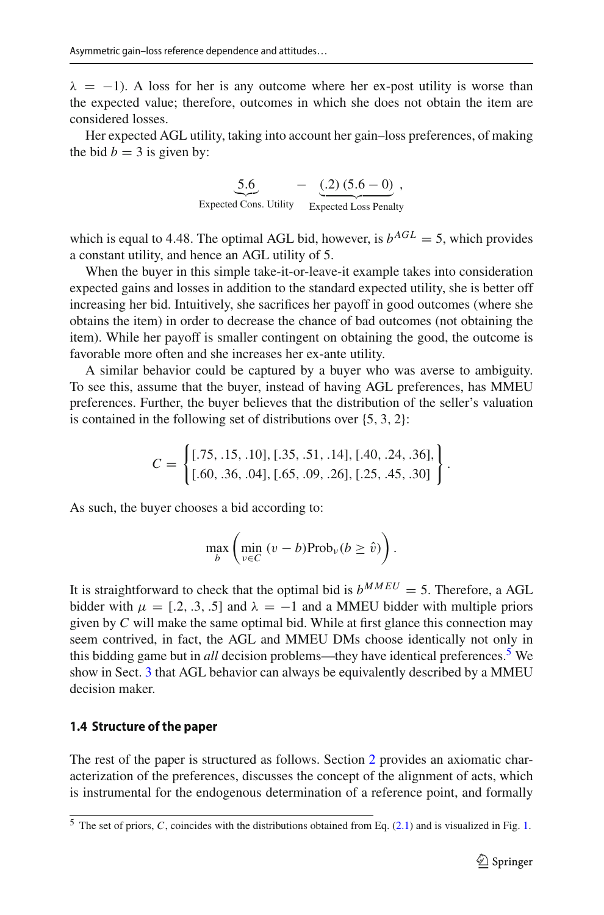$\lambda = -1$ ). A loss for her is any outcome where her ex-post utility is worse than the expected value; therefore, outcomes in which she does not obtain the item are considered losses.

Her expected AGL utility, taking into account her gain–loss preferences, of making the bid  $b = 3$  is given by:

> 5.6 Expected Cons. Utility  $-$  (.2) (5.6 – 0) Expected Loss Penalty ,

which is equal to 4.48. The optimal AGL bid, however, is  $b^{AGL} = 5$ , which provides a constant utility, and hence an AGL utility of 5.

When the buyer in this simple take-it-or-leave-it example takes into consideration expected gains and losses in addition to the standard expected utility, she is better off increasing her bid. Intuitively, she sacrifices her payoff in good outcomes (where she obtains the item) in order to decrease the chance of bad outcomes (not obtaining the item). While her payoff is smaller contingent on obtaining the good, the outcome is favorable more often and she increases her ex-ante utility.

A similar behavior could be captured by a buyer who was averse to ambiguity. To see this, assume that the buyer, instead of having AGL preferences, has MMEU preferences. Further, the buyer believes that the distribution of the seller's valuation is contained in the following set of distributions over {5, 3, 2}:

$$
C = \left\{ \begin{aligned} [.75, .15, .10], [.35, .51, .14], [.40, .24, .36], \\ [.60, .36, .04], [.65, .09, .26], [.25, .45, .30] \end{aligned} \right\}.
$$

As such, the buyer chooses a bid according to:

$$
\max_{b} \left( \min_{v \in C} \left( v - b \right) \text{Prob}_{v} (b \geq \hat{v}) \right).
$$

It is straightforward to check that the optimal bid is  $b^{MMEU} = 5$ . Therefore, a AGL bidder with  $\mu = [.2, .3, .5]$  and  $\lambda = -1$  and a MMEU bidder with multiple priors given by *C* will make the same optimal bid. While at first glance this connection may seem contrived, in fact, the AGL and MMEU DMs choose identically not only in this bidding game but in *all* decision problems—they have identical preferences[.5](#page-4-0) We show in Sect. [3](#page-11-0) that AGL behavior can always be equivalently described by a MMEU decision maker.

# **1.4 Structure of the paper**

The rest of the paper is structured as follows. Section [2](#page-5-0) provides an axiomatic characterization of the preferences, discusses the concept of the alignment of acts, which is instrumental for the endogenous determination of a reference point, and formally

<span id="page-4-0"></span><sup>5</sup> The set of priors, *C*, coincides with the distributions obtained from Eq. [\(2.1\)](#page-11-1) and is visualized in Fig. [1.](#page-13-0)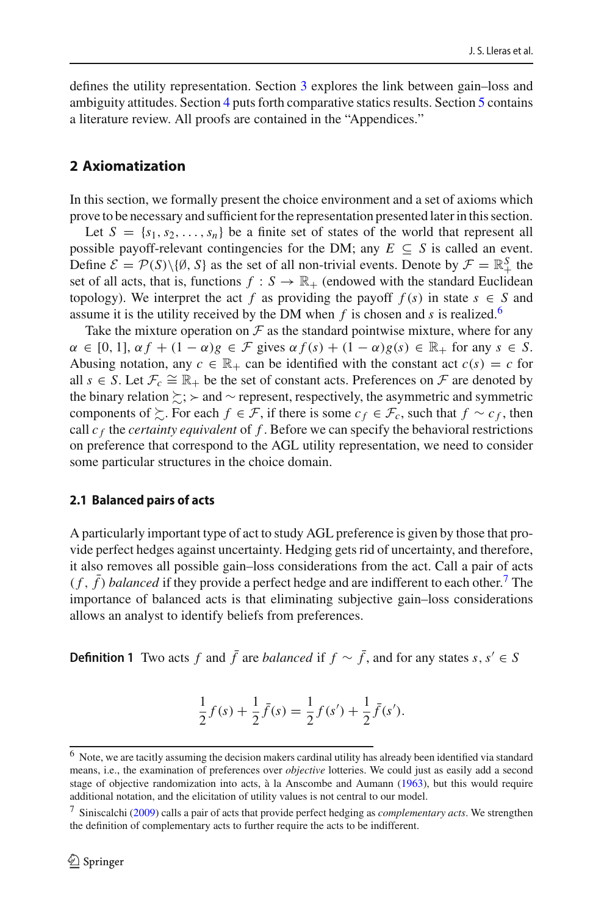defines the utility representation. Section [3](#page-11-0) explores the link between gain–loss and ambiguity attitudes. Section [4](#page-14-0) puts forth comparative statics results. Section [5](#page-16-0) contains a literature review. All proofs are contained in the "Appendices."

# <span id="page-5-0"></span>**2 Axiomatization**

In this section, we formally present the choice environment and a set of axioms which prove to be necessary and sufficient for the representation presented later in this section.

Let  $S = \{s_1, s_2, \ldots, s_n\}$  be a finite set of states of the world that represent all possible payoff-relevant contingencies for the DM; any  $E \subseteq S$  is called an event. Define  $\mathcal{E} = \mathcal{P}(S) \setminus \{\emptyset, S\}$  as the set of all non-trivial events. Denote by  $\mathcal{F} = \mathbb{R}^S_+$  the set of all acts, that is, functions  $f : S \to \mathbb{R}_+$  (endowed with the standard Euclidean topology). We interpret the act *f* as providing the payoff  $f(s)$  in state  $s \in S$  and assume it is the utility received by the DM when  $f$  is chosen and  $s$  is realized.<sup>6</sup>

Take the mixture operation on  $\mathcal F$  as the standard pointwise mixture, where for any  $\alpha \in [0, 1], \alpha f + (1 - \alpha)g \in \mathcal{F}$  gives  $\alpha f(s) + (1 - \alpha)g(s) \in \mathbb{R}_+$  for any  $s \in S$ . Abusing notation, any  $c \in \mathbb{R}_+$  can be identified with the constant act  $c(s) = c$  for all  $s \in S$ . Let  $\mathcal{F}_c \cong \mathbb{R}_+$  be the set of constant acts. Preferences on  $\mathcal F$  are denoted by the binary relation  $\ge$ ;  $>$  and  $\sim$  represent, respectively, the asymmetric and symmetric components of  $\succeq$ . For each  $f \in \mathcal{F}$ , if there is some  $c_f \in \mathcal{F}_c$ , such that  $f \sim c_f$ , then call  $c_f$  the *certainty equivalent* of  $f$ . Before we can specify the behavioral restrictions on preference that correspond to the AGL utility representation, we need to consider some particular structures in the choice domain.

# **2.1 Balanced pairs of acts**

A particularly important type of act to study AGL preference is given by those that provide perfect hedges against uncertainty. Hedging gets rid of uncertainty, and therefore, it also removes all possible gain–loss considerations from the act. Call a pair of acts  $(f, \bar{f})$  *balanced* if they provide a perfect hedge and are indifferent to each other.<sup>[7](#page-5-2)</sup> The importance of balanced acts is that eliminating subjective gain–loss considerations allows an analyst to identify beliefs from preferences.

**Definition 1** Two acts *f* and  $\bar{f}$  are *balanced* if  $f \sim \bar{f}$ , and for any states *s*, *s*<sup>'</sup> ∈ *S* 

$$
\frac{1}{2}f(s) + \frac{1}{2}\bar{f}(s) = \frac{1}{2}f(s') + \frac{1}{2}\bar{f}(s').
$$

<span id="page-5-1"></span><sup>6</sup> Note, we are tacitly assuming the decision makers cardinal utility has already been identified via standard means, i.e., the examination of preferences over *objective* lotteries. We could just as easily add a second stage of objective randomization into acts, à la Anscombe and Auman[n](#page-29-2) [\(1963\)](#page-29-2), but this would require additional notation, and the elicitation of utility values is not central to our model.

<span id="page-5-2"></span><sup>7</sup> Siniscalch[i](#page-30-13) [\(2009](#page-30-13)) calls a pair of acts that provide perfect hedging as *complementary acts*. We strengthen the definition of complementary acts to further require the acts to be indifferent.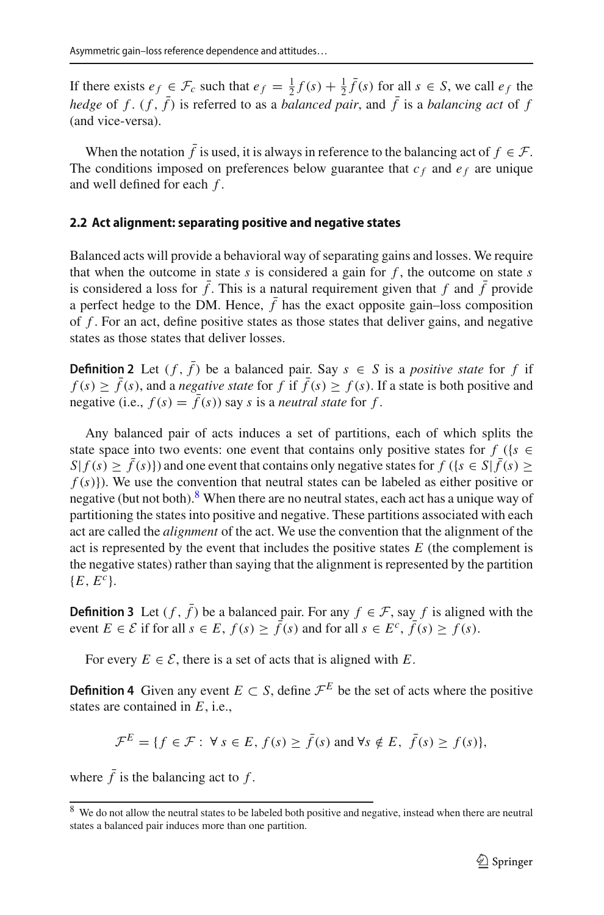If there exists  $e_f \in \mathcal{F}_c$  such that  $e_f = \frac{1}{2}f(s) + \frac{1}{2}\bar{f}(s)$  for all  $s \in S$ , we call  $e_f$  the *hedge* of  $f$ .  $(f, \bar{f})$  is referred to as a *balanced pair*, and  $\bar{f}$  is a *balancing act* of  $f$ (and vice-versa).

When the notation  $\bar{f}$  is used, it is always in reference to the balancing act of  $f \in \mathcal{F}$ . The conditions imposed on preferences below guarantee that  $c_f$  and  $e_f$  are unique and well defined for each *f* .

### **2.2 Act alignment: separating positive and negative states**

Balanced acts will provide a behavioral way of separating gains and losses. We require that when the outcome in state  $s$  is considered a gain for  $f$ , the outcome on state  $s$ is considered a loss for  $\bar{f}$ . This is a natural requirement given that  $f$  and  $\bar{f}$  provide a perfect hedge to the DM. Hence,  $\bar{f}$  has the exact opposite gain–loss composition of *f* . For an act, define positive states as those states that deliver gains, and negative states as those states that deliver losses.

**Definition 2** Let  $(f, \bar{f})$  be a balanced pair. Say  $s \in S$  is a *positive state* for f if  $f(s) \ge \overline{f}(s)$ , and a *negative state* for *f* if  $\overline{f}(s) \ge f(s)$ . If a state is both positive and negative (i.e.,  $f(s) = \bar{f}(s)$ ) say *s* is a *neutral state* for *f*.

Any balanced pair of acts induces a set of partitions, each of which splits the state space into two events: one event that contains only positive states for  $f$  ({ $s \in$  $S|f(s) \ge \overline{f}(s)|$  and one event that contains only negative states for  $f(\lbrace s \in S | \overline{f}(s) \ge$  $f(s)$ }). We use the convention that neutral states can be labeled as either positive or negative (but not both). $8$  When there are no neutral states, each act has a unique way of partitioning the states into positive and negative. These partitions associated with each act are called the *alignment* of the act. We use the convention that the alignment of the act is represented by the event that includes the positive states *E* (the complement is the negative states) rather than saying that the alignment is represented by the partition  ${E, E^c}.$ 

**Definition 3** Let  $(f, \bar{f})$  be a balanced pair. For any  $f \in \mathcal{F}$ , say *f* is aligned with the event  $E \in \mathcal{E}$  if for all  $s \in E$ ,  $f(s) \ge \overline{f}(s)$  and for all  $s \in E^c$ ,  $\overline{f}(s) \ge f(s)$ .

For every  $E \in \mathcal{E}$ , there is a set of acts that is aligned with *E*.

**Definition 4** Given any event  $E \subset S$ , define  $\mathcal{F}^E$  be the set of acts where the positive states are contained in *E*, i.e.,

$$
\mathcal{F}^E = \{ f \in \mathcal{F} : \forall s \in E, f(s) \ge \bar{f}(s) \text{ and } \forall s \notin E, \ \bar{f}(s) \ge f(s) \},
$$

where  $\bar{f}$  is the balancing act to  $f$ .

<span id="page-6-0"></span><sup>&</sup>lt;sup>8</sup> We do not allow the neutral states to be labeled both positive and negative, instead when there are neutral states a balanced pair induces more than one partition.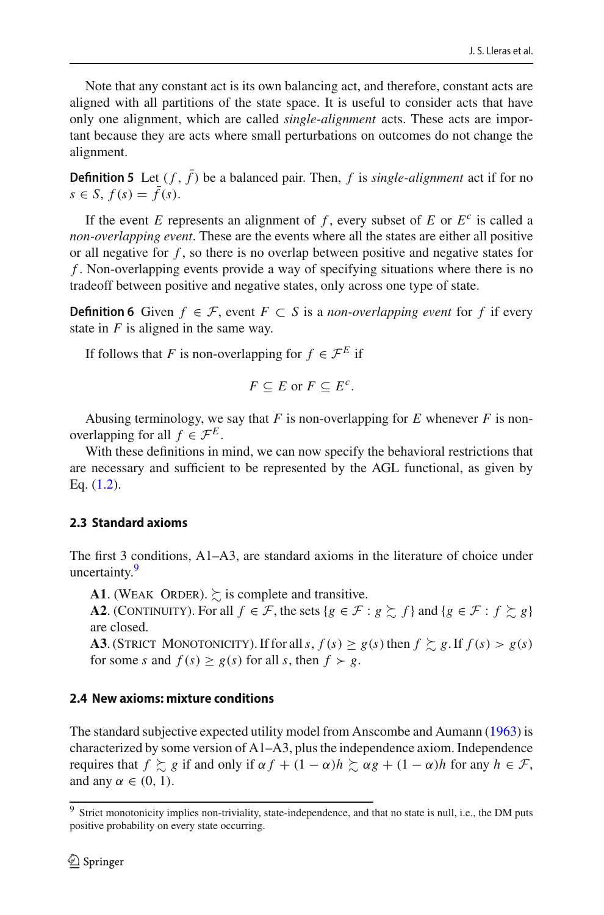Note that any constant act is its own balancing act, and therefore, constant acts are aligned with all partitions of the state space. It is useful to consider acts that have only one alignment, which are called *single-alignment* acts. These acts are important because they are acts where small perturbations on outcomes do not change the alignment.

**Definition 5** Let  $(f, \bar{f})$  be a balanced pair. Then, f is *single-alignment* act if for no *s* ∈ *S*,  $f(s) = \bar{f}(s)$ .

If the event *E* represents an alignment of *f*, every subset of *E* or  $E^c$  is called a *non-overlapping event*. These are the events where all the states are either all positive or all negative for *f* , so there is no overlap between positive and negative states for *f* . Non-overlapping events provide a way of specifying situations where there is no tradeoff between positive and negative states, only across one type of state.

**Definition 6** Given *f* ∈ *F*, event *F* ⊂ *S* is a *non-overlapping event* for *f* if every state in *F* is aligned in the same way.

If follows that *F* is non-overlapping for  $f \in \mathcal{F}^E$  if

$$
F \subseteq E \text{ or } F \subseteq E^c.
$$

Abusing terminology, we say that  $F$  is non-overlapping for  $E$  whenever  $F$  is nonoverlapping for all  $f \in \mathcal{F}^E$ .

With these definitions in mind, we can now specify the behavioral restrictions that are necessary and sufficient to be represented by the AGL functional, as given by Eq.  $(1.2)$ .

# **2.3 Standard axioms**

The first 3 conditions, A1–A3, are standard axioms in the literature of choice under uncertainty.<sup>9</sup>

**A1.** (WEAK ORDER).  $\succeq$  is complete and transitive.

**A2**. (CONTINUITY). For all  $f \in \mathcal{F}$ , the sets  $\{g \in \mathcal{F} : g \succsim f\}$  and  $\{g \in \mathcal{F} : f \succsim g\}$ are closed.

**A3**. (STRICT MONOTONICITY). If for all  $s, f(s) \ge g(s)$  then  $f \ge g$ . If  $f(s) > g(s)$ for some *s* and  $f(s) \ge g(s)$  for all *s*, then  $f \succ g$ .

# **2.4 New axioms: mixture conditions**

The standard subjective expected utility model from Anscombe and Auman[n](#page-29-2) [\(1963](#page-29-2)) is characterized by some version of A1–A3, plus the independence axiom. Independence requires that  $f \gtrsim g$  if and only if  $\alpha f + (1 - \alpha)h \gtrsim \alpha g + (1 - \alpha)h$  for any  $h \in \mathcal{F}$ , and any  $\alpha \in (0, 1)$ .

<span id="page-7-0"></span><sup>&</sup>lt;sup>9</sup> Strict monotonicity implies non-triviality, state-independence, and that no state is null, i.e., the DM puts positive probability on every state occurring.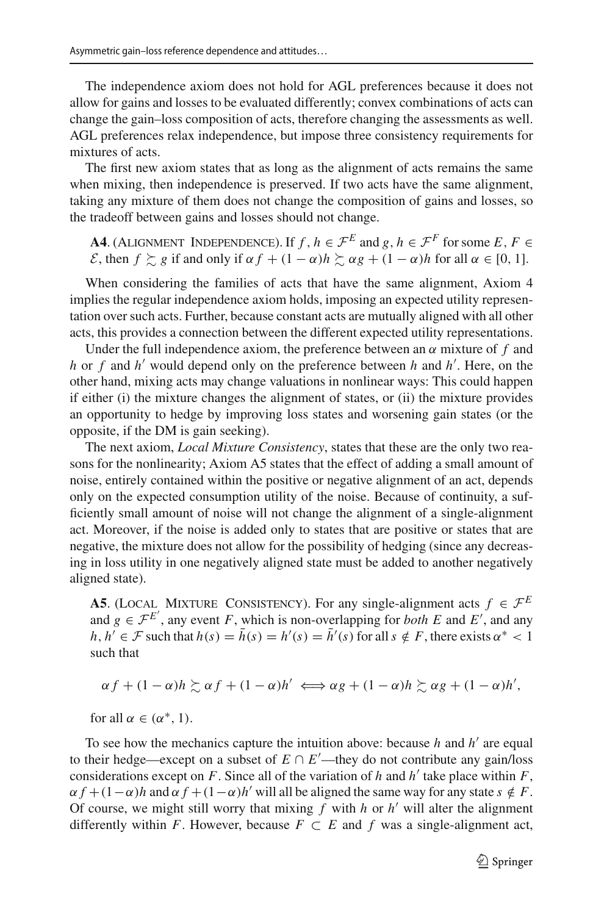The independence axiom does not hold for AGL preferences because it does not allow for gains and losses to be evaluated differently; convex combinations of acts can change the gain–loss composition of acts, therefore changing the assessments as well. AGL preferences relax independence, but impose three consistency requirements for mixtures of acts.

The first new axiom states that as long as the alignment of acts remains the same when mixing, then independence is preserved. If two acts have the same alignment, taking any mixture of them does not change the composition of gains and losses, so the tradeoff between gains and losses should not change.

**A4**. (ALIGNMENT INDEPENDENCE). If  $f, h \in \mathcal{F}^E$  and  $g, h \in \mathcal{F}^F$  for some  $E, F \in$ *E*, then  $f \gtrsim g$  if and only if  $\alpha f + (1 - \alpha)h \gtrsim \alpha g + (1 - \alpha)h$  for all  $\alpha \in [0, 1]$ .

When considering the families of acts that have the same alignment, Axiom 4 implies the regular independence axiom holds, imposing an expected utility representation over such acts. Further, because constant acts are mutually aligned with all other acts, this provides a connection between the different expected utility representations.

Under the full independence axiom, the preference between an  $\alpha$  mixture of  $f$  and *h* or *f* and *h*<sup>'</sup> would depend only on the preference between *h* and *h*<sup>'</sup>. Here, on the other hand, mixing acts may change valuations in nonlinear ways: This could happen if either (i) the mixture changes the alignment of states, or (ii) the mixture provides an opportunity to hedge by improving loss states and worsening gain states (or the opposite, if the DM is gain seeking).

The next axiom, *Local Mixture Consistency*, states that these are the only two reasons for the nonlinearity; Axiom A5 states that the effect of adding a small amount of noise, entirely contained within the positive or negative alignment of an act, depends only on the expected consumption utility of the noise. Because of continuity, a sufficiently small amount of noise will not change the alignment of a single-alignment act. Moreover, if the noise is added only to states that are positive or states that are negative, the mixture does not allow for the possibility of hedging (since any decreasing in loss utility in one negatively aligned state must be added to another negatively aligned state).

**A5**. (LOCAL MIXTURE CONSISTENCY). For any single-alignment acts  $f \in \mathcal{F}^E$ and  $g \in \mathcal{F}^{E'}$ , any event *F*, which is non-overlapping for *both E* and *E'*, and any *h*,  $h' \in \mathcal{F}$  such that  $h(s) = h(s) = h'(s) = h'(s)$  for all  $s \notin F$ , there exists  $\alpha^* < 1$ such that

 $\alpha f + (1 - \alpha)h \gtrsim \alpha f + (1 - \alpha)h' \iff \alpha g + (1 - \alpha)h \gtrsim \alpha g + (1 - \alpha)h',$ 

for all  $\alpha \in (\alpha^*, 1)$ .

To see how the mechanics capture the intuition above: because  $h$  and  $h'$  are equal to their hedge—except on a subset of  $E \cap E'$ —they do not contribute any gain/loss considerations except on  $F$ . Since all of the variation of  $h$  and  $h'$  take place within  $F$ ,  $\alpha f + (1 - \alpha)h$  and  $\alpha f + (1 - \alpha)h'$  will all be aligned the same way for any state  $s \notin F$ . Of course, we might still worry that mixing  $f$  with  $h$  or  $h'$  will alter the alignment differently within *F*. However, because  $F \subset E$  and  $f$  was a single-alignment act,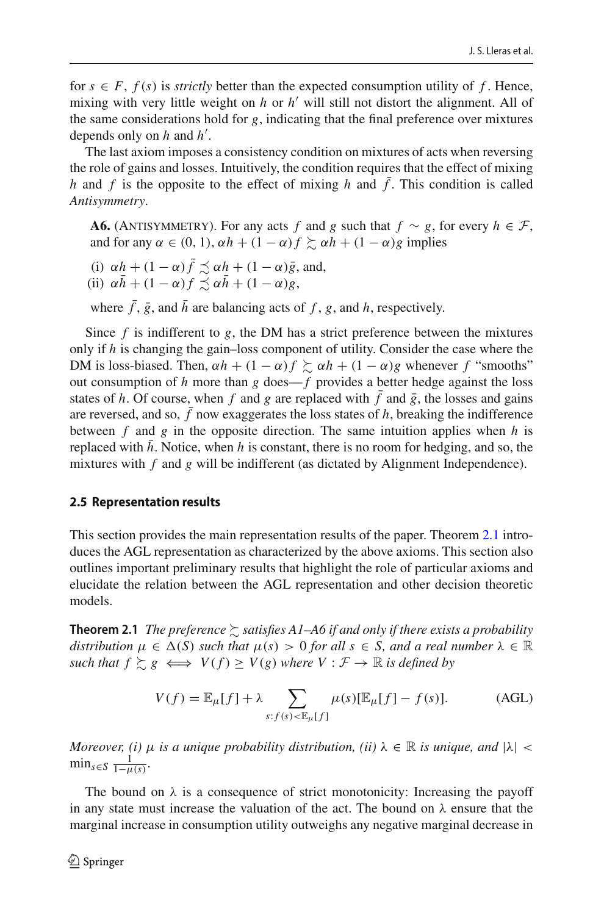for  $s \in F$ ,  $f(s)$  is *strictly* better than the expected consumption utility of f. Hence, mixing with very little weight on  $h$  or  $h'$  will still not distort the alignment. All of the same considerations hold for *g*, indicating that the final preference over mixtures depends only on *h* and *h'*.

The last axiom imposes a consistency condition on mixtures of acts when reversing the role of gains and losses. Intuitively, the condition requires that the effect of mixing *h* and *f* is the opposite to the effect of mixing *h* and  $\bar{f}$ . This condition is called *Antisymmetry*.

**A6.** (ANTISYMMETRY). For any acts *f* and *g* such that  $f \sim g$ , for every  $h \in \mathcal{F}$ , and for any  $\alpha \in (0, 1)$ ,  $\alpha h + (1 - \alpha)f \succeq \alpha h + (1 - \alpha)g$  implies

- (i)  $\alpha h + (1 \alpha) \bar{f} \precsim \alpha h + (1 \alpha) \bar{g}$ , and,
- (ii)  $\alpha \bar{h} + (1 \alpha) f \preceq \alpha \bar{h} + (1 \alpha) g$ ,

where  $\bar{f}$ ,  $\bar{g}$ , and  $\bar{h}$  are balancing acts of f, g, and h, respectively.

Since  $f$  is indifferent to  $g$ , the DM has a strict preference between the mixtures only if *h* is changing the gain–loss component of utility. Consider the case where the DM is loss-biased. Then,  $\alpha h + (1 - \alpha)f \succeq \alpha h + (1 - \alpha)g$  whenever *f* "smooths" out consumption of  $h$  more than  $g$  does— $f$  provides a better hedge against the loss states of *h*. Of course, when *f* and *g* are replaced with  $\bar{f}$  and  $\bar{g}$ , the losses and gains are reversed, and so,  $\bar{f}$  now exaggerates the loss states of *h*, breaking the indifference between *f* and *g* in the opposite direction. The same intuition applies when *h* is replaced with  $h$ . Notice, when  $h$  is constant, there is no room for hedging, and so, the mixtures with *f* and *g* will be indifferent (as dictated by Alignment Independence).

#### **2.5 Representation results**

This section provides the main representation results of the paper. Theorem [2.1](#page-9-0) introduces the AGL representation as characterized by the above axioms. This section also outlines important preliminary results that highlight the role of particular axioms and elucidate the relation between the AGL representation and other decision theoretic models.

<span id="page-9-0"></span>**Theorem 2.1** *The preference*  $\succsim$  satisfies A1–A6 if and only if there exists a probability *distribution*  $\mu \in \Delta(S)$  *such that*  $\mu(s) > 0$  *for all*  $s \in S$ *, and a real number*  $\lambda \in \mathbb{R}$  $\mathcal{L} \times \mathcal{L} \times \mathcal{L} \times \mathcal{L} \times \mathcal{V} \times \mathcal{V} \times \mathcal{V} \times \mathcal{V} \times \mathcal{V} \times \mathcal{V} \times \mathcal{V} \times \mathcal{V} \times \mathcal{V} \times \mathcal{V} \times \mathcal{V} \times \mathcal{V} \times \mathcal{V} \times \mathcal{V} \times \mathcal{V} \times \mathcal{V} \times \mathcal{V} \times \mathcal{V} \times \mathcal{V} \times \mathcal{V} \times \mathcal{V} \times \mathcal{V} \times \mathcal{V} \times \mathcal{$ 

<span id="page-9-1"></span>
$$
V(f) = \mathbb{E}_{\mu}[f] + \lambda \sum_{s:f(s) < \mathbb{E}_{\mu}[f]} \mu(s)[\mathbb{E}_{\mu}[f] - f(s)]. \tag{AGL}
$$

*Moreover, (i)*  $\mu$  *is a unique probability distribution, (ii)*  $\lambda \in \mathbb{R}$  *is unique, and*  $|\lambda|$  <  $\min_{s \in S} \frac{1}{1-\mu(s)}$ .

The bound on  $\lambda$  is a consequence of strict monotonicity: Increasing the payoff in any state must increase the valuation of the act. The bound on  $\lambda$  ensure that the marginal increase in consumption utility outweighs any negative marginal decrease in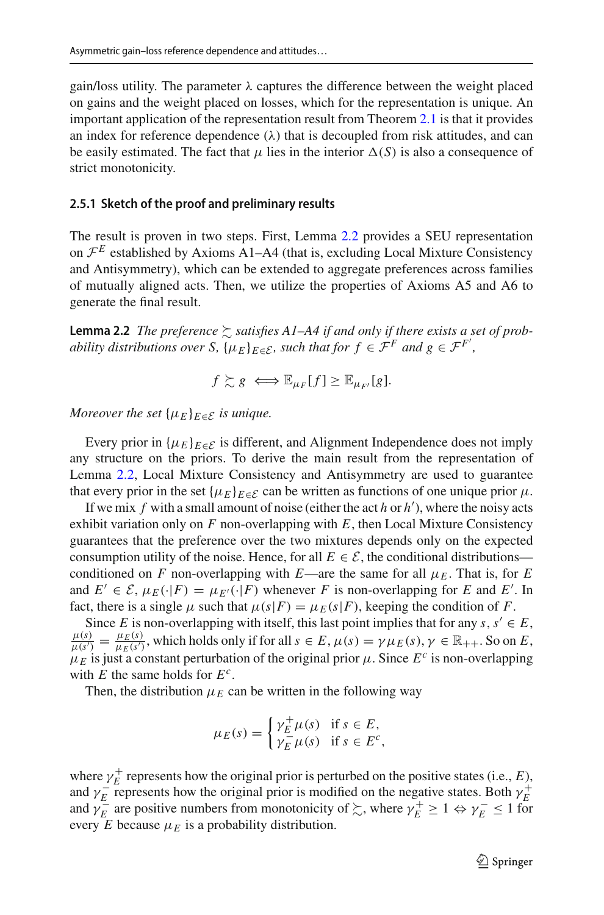gain/loss utility. The parameter  $\lambda$  captures the difference between the weight placed on gains and the weight placed on losses, which for the representation is unique. An important application of the representation result from Theorem [2.1](#page-9-0) is that it provides an index for reference dependence  $(\lambda)$  that is decoupled from risk attitudes, and can be easily estimated. The fact that  $\mu$  lies in the interior  $\Delta(S)$  is also a consequence of strict monotonicity.

#### **2.5.1 Sketch of the proof and preliminary results**

The result is proven in two steps. First, Lemma [2.2](#page-10-0) provides a SEU representation on  $\mathcal{F}^E$  established by Axioms A1–A4 (that is, excluding Local Mixture Consistency and Antisymmetry), which can be extended to aggregate preferences across families of mutually aligned acts. Then, we utilize the properties of Axioms A5 and A6 to generate the final result.

<span id="page-10-0"></span>**Lemma 2.2** *The preference*  $\succsim$  *satisfies A1–A4 if and only if there exists a set of probability distributions over S,*  $\{\mu_E\}_{E \in \mathcal{E}}$ *, such that for*  $f \in \mathcal{F}^F$  *and*  $g \in \mathcal{F}^{F'}$ *,* 

$$
f \succsim g \iff \mathbb{E}_{\mu_F}[f] \geq \mathbb{E}_{\mu_{F'}}[g].
$$

*Moreover the set*  $\{\mu_E\}_{E \in \mathcal{E}}$  *is unique.* 

Every prior in  $\{\mu_E\}_{E \in \mathcal{E}}$  is different, and Alignment Independence does not imply any structure on the priors. To derive the main result from the representation of Lemma [2.2,](#page-10-0) Local Mixture Consistency and Antisymmetry are used to guarantee that every prior in the set  $\{\mu_E\}_{E \in \mathcal{E}}$  can be written as functions of one unique prior  $\mu$ .

If we mix  $f$  with a small amount of noise (either the act  $h$  or  $h'$ ), where the noisy acts exhibit variation only on  $F$  non-overlapping with  $E$ , then Local Mixture Consistency guarantees that the preference over the two mixtures depends only on the expected consumption utility of the noise. Hence, for all  $E \in \mathcal{E}$ , the conditional distributions conditioned on *F* non-overlapping with *E*—are the same for all  $\mu_F$ . That is, for *E* and  $E' \in \mathcal{E}, \mu_E(\cdot|F) = \mu_{E'}(\cdot|F)$  whenever *F* is non-overlapping for *E* and *E'*. In fact, there is a single  $\mu$  such that  $\mu(s|F) = \mu_E(s|F)$ , keeping the condition of *F*.

Since *E* is non-overlapping with itself, this last point implies that for any  $s, s' \in E$ ,  $\frac{\mu(s)}{\mu(s')} = \frac{\mu_E(s)}{\mu_E(s')}$ , which holds only if for all  $s \in E$ ,  $\mu(s) = \gamma \mu_E(s)$ ,  $\gamma \in \mathbb{R}_{++}$ . So on *E*,  $\mu_E$  is just a constant perturbation of the original prior  $\mu$ . Since  $E^c$  is non-overlapping with  $E$  the same holds for  $E^c$ .

Then, the distribution  $\mu_E$  can be written in the following way

$$
\mu_E(s) = \begin{cases} \gamma_E^+ \mu(s) & \text{if } s \in E, \\ \gamma_E^- \mu(s) & \text{if } s \in E^c, \end{cases}
$$

where  $\gamma_E^+$  represents how the original prior is perturbed on the positive states (i.e., *E*), and  $\gamma_E^-$  represents how the original prior is modified on the negative states. Both  $\gamma_E^+$ and  $\gamma_E^-$  are positive numbers from monotonicity of  $\lesssim$ , where  $\gamma_E^+ \ge 1 \Leftrightarrow \gamma_E^- \le 1$  for every  $E$  because  $\mu_E$  is a probability distribution.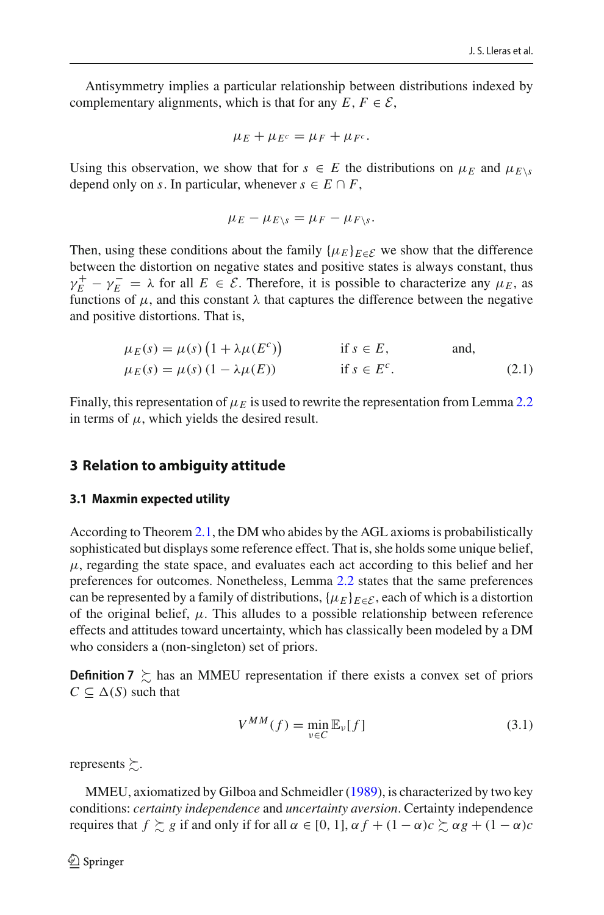Antisymmetry implies a particular relationship between distributions indexed by complementary alignments, which is that for any  $E, F \in \mathcal{E}$ ,

$$
\mu_E + \mu_{E^c} = \mu_F + \mu_{F^c}.
$$

Using this observation, we show that for  $s \in E$  the distributions on  $\mu_E$  and  $\mu_{E\setminus s}$ depend only on *s*. In particular, whenever  $s \in E \cap F$ ,

<span id="page-11-1"></span>
$$
\mu_E - \mu_{E\setminus s} = \mu_F - \mu_{F\setminus s}.
$$

Then, using these conditions about the family  $\{\mu_E\}_{E \in \mathcal{E}}$  we show that the difference between the distortion on negative states and positive states is always constant, thus  $\gamma_E^+ - \gamma_E^- = \lambda$  for all  $E \in \mathcal{E}$ . Therefore, it is possible to characterize any  $\mu_E$ , as functions of  $\mu$ , and this constant  $\lambda$  that captures the difference between the negative and positive distortions. That is,

$$
\mu_E(s) = \mu(s) \left( 1 + \lambda \mu(E^c) \right) \qquad \text{if } s \in E, \qquad \text{and,}
$$
  

$$
\mu_E(s) = \mu(s) \left( 1 - \lambda \mu(E) \right) \qquad \text{if } s \in E^c. \qquad (2.1)
$$

Finally, this representation of  $\mu_E$  is used to rewrite the representation from Lemma [2.2](#page-10-0) in terms of  $\mu$ , which yields the desired result.

# <span id="page-11-0"></span>**3 Relation to ambiguity attitude**

#### **3.1 Maxmin expected utility**

According to Theorem [2.1,](#page-9-0) the DM who abides by the AGL axioms is probabilistically sophisticated but displays some reference effect. That is, she holds some unique belief,  $\mu$ , regarding the state space, and evaluates each act according to this belief and her preferences for outcomes. Nonetheless, Lemma [2.2](#page-10-0) states that the same preferences can be represented by a family of distributions,  $\{\mu_E\}_{E \in \mathcal{E}}$ , each of which is a distortion of the original belief,  $\mu$ . This alludes to a possible relationship between reference effects and attitudes toward uncertainty, which has classically been modeled by a DM who considers a (non-singleton) set of priors.

**Definition 7**  $\geq$  has an MMEU representation if there exists a convex set of priors  $C \subseteq \Delta(S)$  such that

$$
V^{MM}(f) = \min_{v \in C} \mathbb{E}_v[f] \tag{3.1}
$$

represents  $\succsim$ .

MMEU, axiomatized by Gilboa and Schmeidle[r](#page-30-1) [\(1989\)](#page-30-1), is characterized by two key conditions: *certainty independence* and *uncertainty aversion*. Certainty independence requires that  $f \gtrsim g$  if and only if for all  $\alpha \in [0, 1]$ ,  $\alpha f + (1 - \alpha)c \gtrsim \alpha g + (1 - \alpha)c$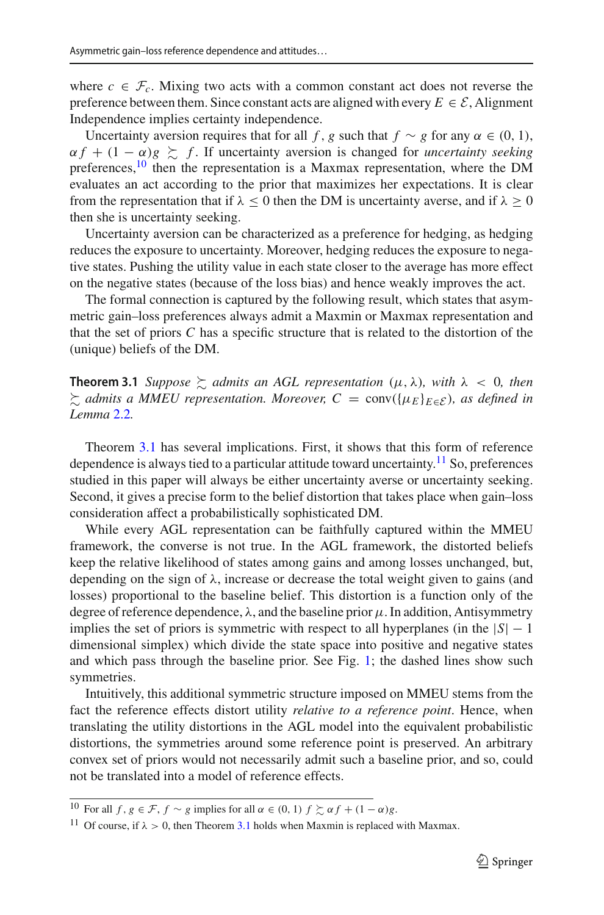where  $c \in \mathcal{F}_c$ . Mixing two acts with a common constant act does not reverse the preference between them. Since constant acts are aligned with every  $E \in \mathcal{E}$ , Alignment Independence implies certainty independence.

Uncertainty aversion requires that for all *f*, *g* such that *f* ∼ *g* for any  $\alpha \in (0, 1)$ ,  $\alpha f + (1 - \alpha)g \succeq f$ . If uncertainty aversion is changed for *uncertainty seeking* preferences, $10$  then the representation is a Maxmax representation, where the DM evaluates an act according to the prior that maximizes her expectations. It is clear from the representation that if  $\lambda \leq 0$  then the DM is uncertainty averse, and if  $\lambda \geq 0$ then she is uncertainty seeking.

Uncertainty aversion can be characterized as a preference for hedging, as hedging reduces the exposure to uncertainty. Moreover, hedging reduces the exposure to negative states. Pushing the utility value in each state closer to the average has more effect on the negative states (because of the loss bias) and hence weakly improves the act.

The formal connection is captured by the following result, which states that asymmetric gain–loss preferences always admit a Maxmin or Maxmax representation and that the set of priors *C* has a specific structure that is related to the distortion of the (unique) beliefs of the DM.

<span id="page-12-1"></span>**Theorem 3.1** *Suppose*  $\gtrsim$  *admits an AGL representation*  $(\mu, \lambda)$ *, with*  $\lambda$  < 0*, then* - *admits a MMEU representation. Moreover, C* = conv({μ*<sup>E</sup>* }*E*∈*<sup>E</sup>* )*, as defined in Lemma* [2.2](#page-10-0)*.*

Theorem [3.1](#page-12-1) has several implications. First, it shows that this form of reference dependence is always tied to a particular attitude toward uncertainty.<sup>11</sup> So, preferences studied in this paper will always be either uncertainty averse or uncertainty seeking. Second, it gives a precise form to the belief distortion that takes place when gain–loss consideration affect a probabilistically sophisticated DM.

While every AGL representation can be faithfully captured within the MMEU framework, the converse is not true. In the AGL framework, the distorted beliefs keep the relative likelihood of states among gains and among losses unchanged, but, depending on the sign of  $\lambda$ , increase or decrease the total weight given to gains (and losses) proportional to the baseline belief. This distortion is a function only of the degree of reference dependence,  $\lambda$ , and the baseline prior  $\mu$ . In addition, Antisymmetry implies the set of priors is symmetric with respect to all hyperplanes (in the  $|S| - 1$ dimensional simplex) which divide the state space into positive and negative states and which pass through the baseline prior. See Fig. [1;](#page-13-0) the dashed lines show such symmetries.

Intuitively, this additional symmetric structure imposed on MMEU stems from the fact the reference effects distort utility *relative to a reference point*. Hence, when translating the utility distortions in the AGL model into the equivalent probabilistic distortions, the symmetries around some reference point is preserved. An arbitrary convex set of priors would not necessarily admit such a baseline prior, and so, could not be translated into a model of reference effects.

<sup>&</sup>lt;sup>10</sup> For all  $f, g \in \mathcal{F}, f \sim g$  implies for all  $\alpha \in (0, 1)$   $f \succsim \alpha f + (1 - \alpha)g$ .

<span id="page-12-2"></span><span id="page-12-0"></span><sup>&</sup>lt;sup>11</sup> Of course, if  $\lambda > 0$ , then Theorem [3.1](#page-12-1) holds when Maxmin is replaced with Maxmax.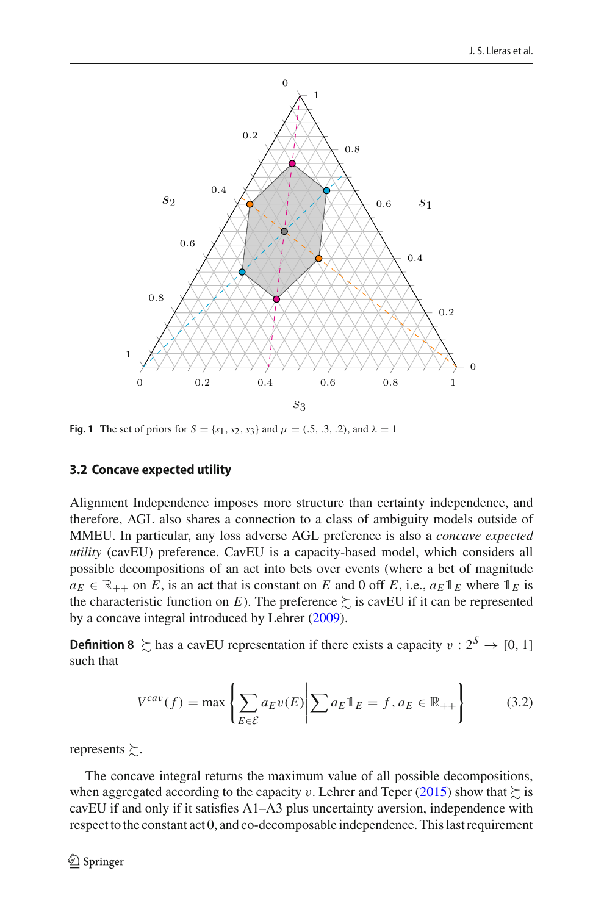

<span id="page-13-0"></span>**Fig. 1** The set of priors for  $S = \{s_1, s_2, s_3\}$  and  $\mu = (.5, .3, .2)$ , and  $\lambda = 1$ 

# **3.2 Concave expected utility**

Alignment Independence imposes more structure than certainty independence, and therefore, AGL also shares a connection to a class of ambiguity models outside of MMEU. In particular, any loss adverse AGL preference is also a *concave expected utility* (cavEU) preference. CavEU is a capacity-based model, which considers all possible decompositions of an act into bets over events (where a bet of magnitude  $a_E \in \mathbb{R}_{++}$  on *E*, is an act that is constant on *E* and 0 off *E*, i.e.,  $a_E \mathbb{1}_E$  where  $\mathbb{1}_E$  is the characteristic function on *E*). The preference  $\succsim$  is cavEU if it can be represented by a concave integral introduced by Lehre[r](#page-30-14) [\(2009](#page-30-14)).

**Definition 8**  $\geq$  has a cavEU representation if there exists a capacity  $v : 2^S \to [0, 1]$ such that

$$
V^{cav}(f) = \max \left\{ \sum_{E \in \mathcal{E}} a_E v(E) \middle| \sum a_E \mathbb{1}_E = f, a_E \in \mathbb{R}_{++} \right\}
$$
(3.2)

represents  $\succsim$ .

The concave integral returns the maximum value of all possible decompositions, when agg[r](#page-30-15)egated according to the capacity  $v.$  Lehrer and Teper [\(2015](#page-30-15)) show that  $\succsim$  is cavEU if and only if it satisfies A1–A3 plus uncertainty aversion, independence with respect to the constant act 0, and co-decomposable independence. This last requirement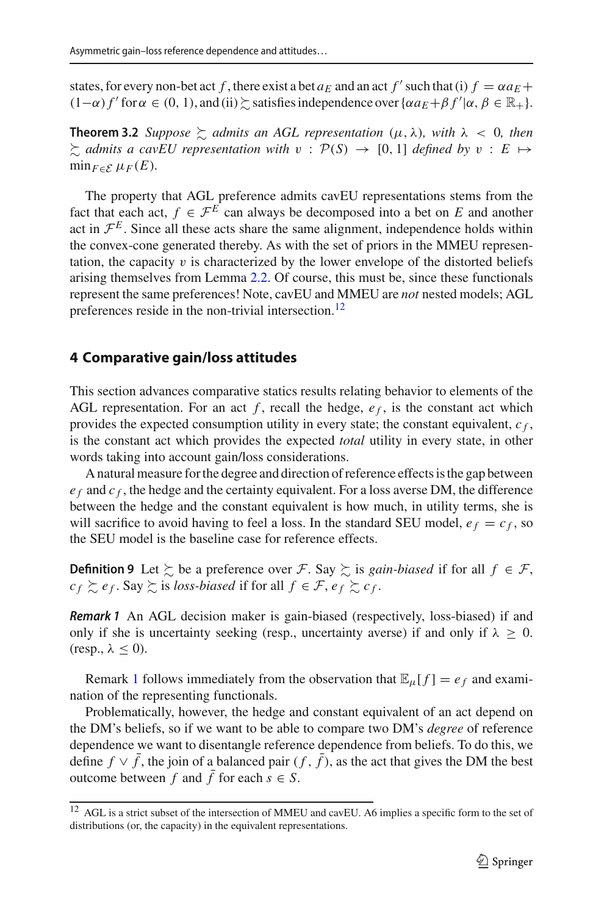<span id="page-14-3"></span>states, for every non-bet act *f*, there exist a bet  $a_E$  and an act  $f'$  such that (i)  $f = \alpha a_E +$  $(1-\alpha) f'$  for  $\alpha \in (0, 1)$ , and  $(ii) \succsim$  satisfies independence over  $\{\alpha a_E + \beta f' | \alpha, \beta \in \mathbb{R}_+\}.$ 

**Theorem 3.2** *Suppose*  $\gtrsim$  *admits an AGL representation*  $(\mu, \lambda)$ *, with*  $\lambda$  < 0*, then*  $\lesssim$  *admits a cavEU representation with*  $v : \mathcal{P}(S) \rightarrow [0, 1]$  *defined by*  $v : E \rightarrow$  $\min_{F \in \mathcal{E}} \mu_F(E)$ .

The property that AGL preference admits cavEU representations stems from the fact that each act,  $f \in \mathcal{F}^E$  can always be decomposed into a bet on *E* and another act in  $\mathcal{F}^E$ . Since all these acts share the same alignment, independence holds within the convex-cone generated thereby. As with the set of priors in the MMEU representation, the capacity  $v$  is characterized by the lower envelope of the distorted beliefs arising themselves from Lemma [2.2.](#page-10-0) Of course, this must be, since these functionals represent the same preferences! Note, cavEU and MMEU are *not* nested models; AGL preferences reside in the non-trivial intersection.<sup>[12](#page-14-1)</sup>

## <span id="page-14-0"></span>**4 Comparative gain/loss attitudes**

This section advances comparative statics results relating behavior to elements of the AGL representation. For an act  $f$ , recall the hedge,  $e_f$ , is the constant act which provides the expected consumption utility in every state; the constant equivalent,  $c_f$ , is the constant act which provides the expected *total* utility in every state, in other words taking into account gain/loss considerations.

A natural measure for the degree and direction of reference effects is the gap between  $e_f$  and  $c_f$ , the hedge and the certainty equivalent. For a loss averse DM, the difference between the hedge and the constant equivalent is how much, in utility terms, she is will sacrifice to avoid having to feel a loss. In the standard SEU model,  $e_f = c_f$ , so the SEU model is the baseline case for reference effects.

**Definition 9** Let  $\succsim$  be a preference over *F*. Say  $\succsim$  is *gain-biased* if for all  $f \in \mathcal{F}$ ,  $c_f \succsim e_f$ . Say  $\succsim$  is *loss-biased* if for all  $f \in \mathcal{F}$ ,  $e_f \succsim c_f$ .

<span id="page-14-2"></span>*Remark 1* An AGL decision maker is gain-biased (respectively, loss-biased) if and only if she is uncertainty seeking (resp., uncertainty averse) if and only if  $\lambda \geq 0$ .  $(resp., \lambda \leq 0).$ 

Remark [1](#page-14-2) follows immediately from the observation that  $\mathbb{E}_{\mu}[f] = e_f$  and examination of the representing functionals.

Problematically, however, the hedge and constant equivalent of an act depend on the DM's beliefs, so if we want to be able to compare two DM's *degree* of reference dependence we want to disentangle reference dependence from beliefs. To do this, we define  $f \vee \overline{f}$ , the join of a balanced pair  $(f, \overline{f})$ , as the act that gives the DM the best outcome between *f* and  $\bar{f}$  for each  $s \in S$ .

<span id="page-14-1"></span><sup>&</sup>lt;sup>12</sup> AGL is a strict subset of the intersection of MMEU and cavEU. A6 implies a specific form to the set of distributions (or, the capacity) in the equivalent representations.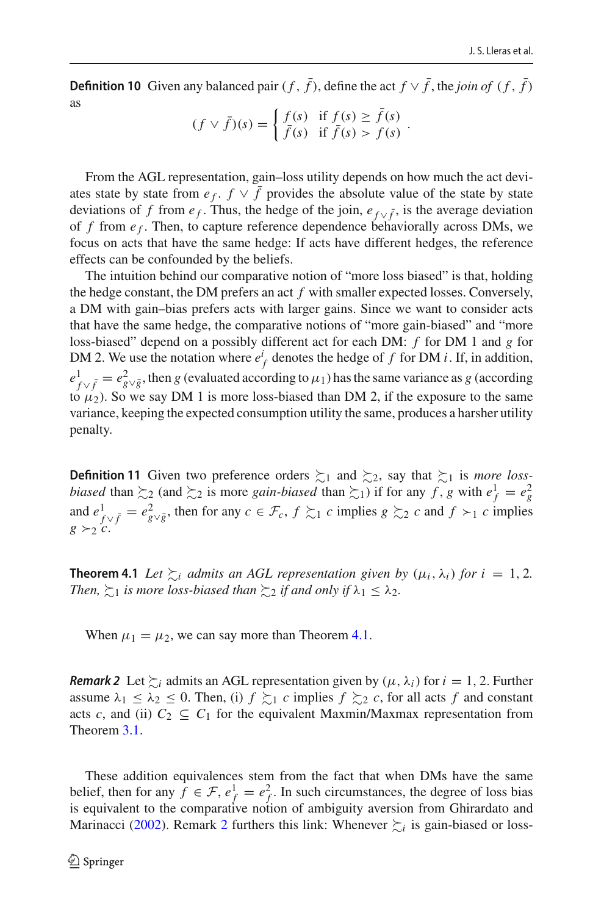**Definition 10** Given any balanced pair  $(f, \bar{f})$ , define the act  $f \vee \bar{f}$ , the *join of*  $(f, \bar{f})$ as

$$
(f \vee \overline{f})(s) = \begin{cases} f(s) & \text{if } f(s) \ge f(s) \\ \overline{f}(s) & \text{if } \overline{f}(s) > f(s) \end{cases}.
$$

From the AGL representation, gain–loss utility depends on how much the act deviates state by state from  $e_f$ .  $f \vee \overline{f}$  provides the absolute value of the state by state deviations of *f* from  $e_f$ . Thus, the hedge of the join,  $e_{f \vee \bar{f}}$ , is the average deviation of *f* from *e <sup>f</sup>* . Then, to capture reference dependence behaviorally across DMs, we focus on acts that have the same hedge: If acts have different hedges, the reference effects can be confounded by the beliefs.

The intuition behind our comparative notion of "more loss biased" is that, holding the hedge constant, the DM prefers an act *f* with smaller expected losses. Conversely, a DM with gain–bias prefers acts with larger gains. Since we want to consider acts that have the same hedge, the comparative notions of "more gain-biased" and "more loss-biased" depend on a possibly different act for each DM: *f* for DM 1 and *g* for DM 2. We use the notation where  $e_f^i$  denotes the hedge of  $f$  for DM *i*. If, in addition,  $e^1$ <sub>V</sub> $\bar{f}$  =  $e^2$ <sub>*g*</sub> $\bar{g}$ , then *g* (evaluated according to  $\mu_1$ ) has the same variance as *g* (according to  $\mu_2$ ). So we say DM 1 is more loss-biased than DM 2, if the exposure to the same variance, keeping the expected consumption utility the same, produces a harsher utility penalty.

**Definition 11** Given two preference orders  $\succsim_1$  and  $\succsim_2$ , say that  $\succsim_1$  is *more lossbiased* than  $\succsim_2$  (and  $\succsim_2$  is more *gain-biased* than  $\succsim_1$ ) if for any *f*, *g* with  $e^1_f = e^2_g$ and  $e^1_{f \vee \bar{f}} = e^2_{g \vee \bar{g}}$ , then for any  $c \in \mathcal{F}_c$ ,  $f \succsim 1$  *c* implies  $g \succsim 2$  *c* and  $f \succ_1 c$  implies  $g \succ_2 c$ .

<span id="page-15-0"></span>**Theorem 4.1** *Let*  $\succsim$ *i admits an AGL representation given by*  $(\mu_i, \lambda_i)$  *for*  $i = 1, 2$ *.* Then,  $\succsim_1$  is more loss-biased than  $\succsim_2$  if and only if  $\lambda_1 \leq \lambda_2$ .

<span id="page-15-1"></span>When  $\mu_1 = \mu_2$ , we can say more than Theorem [4.1.](#page-15-0)

*Remark 2* Let  $\sum_{i}$  admits an AGL representation given by  $(\mu, \lambda_i)$  for  $i = 1, 2$ . Further assume  $\lambda_1 \leq \lambda_2 \leq 0$ . Then, (i)  $f \succsim_1 c$  implies  $f \succsim_2 c$ , for all acts  $f$  and constant acts *c*, and (ii)  $C_2 \subseteq C_1$  for the equivalent Maxmin/Maxmax representation from Theorem [3.1.](#page-12-1)

These addition equivalences stem from the fact that when DMs have the same belief, then for any  $f \in \mathcal{F}$ ,  $e_f^1 = e_f^2$ . In such circumstances, the degree of loss bias is equivalent to the comparative notion of ambiguity aversion from Ghirardato and Mar[i](#page-29-3)nacci [\(2002](#page-29-3)). Remark [2](#page-15-1) furthers this link: Whenever  $\succsim_i$  is gain-biased or loss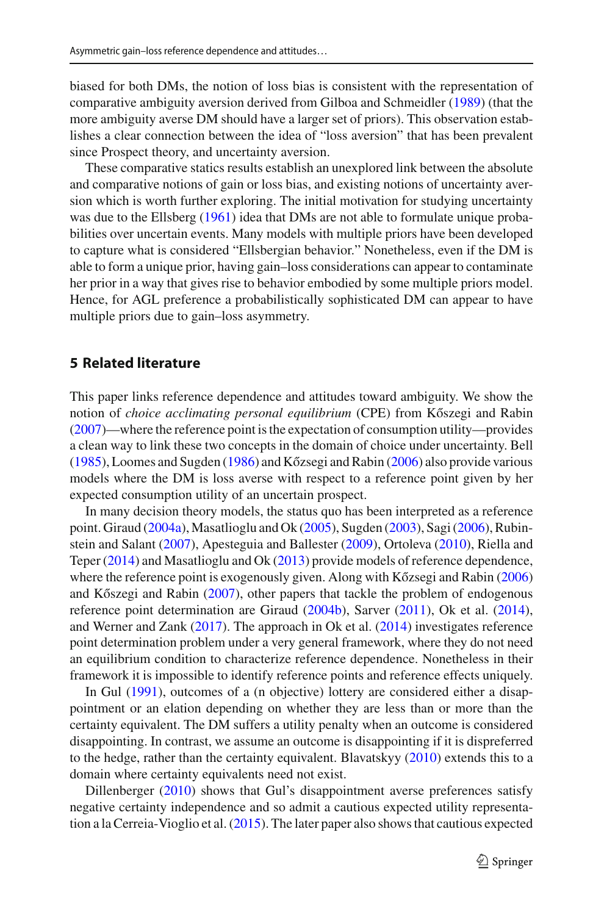biased for both DMs, the notion of loss bias is consistent with the representation of comparative ambiguity aversion derived from Gilboa and Schmeidle[r](#page-30-1) [\(1989\)](#page-30-1) (that the more ambiguity averse DM should have a larger set of priors). This observation establishes a clear connection between the idea of "loss aversion" that has been prevalent since Prospect theory, and uncertainty aversion.

These comparative statics results establish an unexplored link between the absolute and comparative notions of gain or loss bias, and existing notions of uncertainty aversion which is worth further exploring. The initial motivation for studying uncertainty was due to the Ellsber[g](#page-29-4) [\(1961\)](#page-29-4) idea that DMs are not able to formulate unique probabilities over uncertain events. Many models with multiple priors have been developed to capture what is considered "Ellsbergian behavior." Nonetheless, even if the DM is able to form a unique prior, having gain–loss considerations can appear to contaminate her prior in a way that gives rise to behavior embodied by some multiple priors model. Hence, for AGL preference a probabilistically sophisticated DM can appear to have multiple priors due to gain–loss asymmetry.

# <span id="page-16-0"></span>**5 Related literature**

This paper links reference dependence and attitudes toward ambiguity. We show the [n](#page-30-2)otion of *choice acclimating personal equilibrium* (CPE) from Kőszegi and Rabin [\(2007\)](#page-30-2)—where the reference point is the expectation of consumption utility—provides a clean way to link these two concepts in the domain of choice under uncertainty. Bel[l](#page-29-0) [\(1985\)](#page-29-0), Loomes a[n](#page-30-4)d Sugden [\(1986](#page-30-7)) and Kőzsegi and Rabin [\(2006\)](#page-30-4) also provide various models where the DM is loss averse with respect to a reference point given by her expected consumption utility of an uncertain prospect.

In many decision theory models, the status quo has been interpreted as a reference point. Girau[d](#page-30-16) [\(2004a](#page-30-16)), Masatlioglu and O[k](#page-30-17) [\(2005](#page-30-17)), Sugde[n](#page-30-18) [\(2003](#page-30-18)), Sag[i](#page-30-19) [\(2006\)](#page-30-19), Rubinstein and Salan[t](#page-30-20) [\(2007\)](#page-30-20), Apesteguia and Balleste[r](#page-29-5) [\(2009\)](#page-29-5), Ortolev[a](#page-30-21) [\(2010\)](#page-30-21), Riella and Tepe[r](#page-30-22) [\(2014](#page-30-22)) and Masatlioglu and O[k](#page-30-23) [\(2013](#page-30-23)) provide models of reference dependence, where the refere[n](#page-30-4)ce point is exogenously given. Along with Kőzsegi and Rabin [\(2006\)](#page-30-4) a[n](#page-30-2)d Kőszegi and Rabin  $(2007)$  $(2007)$ , other papers that tackle the problem of endogenous reference point determination are Girau[d](#page-30-24) [\(2004b\)](#page-30-24), Sarve[r](#page-30-5) [\(2011](#page-30-5)), Ok et al[.](#page-30-6) [\(2014](#page-30-6)), and Werner and Zan[k](#page-30-25) [\(2017\)](#page-30-25). The approach in Ok et al[.](#page-30-6) [\(2014](#page-30-6)) investigates reference point determination problem under a very general framework, where they do not need an equilibrium condition to characterize reference dependence. Nonetheless in their framework it is impossible to identify reference points and reference effects uniquely.

In Gu[l](#page-30-8) [\(1991](#page-30-8)), outcomes of a (n objective) lottery are considered either a disappointment or an elation depending on whether they are less than or more than the certainty equivalent. The DM suffers a utility penalty when an outcome is considered disappointing. In contrast, we assume an outcome is disappointing if it is dispreferred to the hedge, rather than the certainty equivalent. Blavatsky[y](#page-29-6) [\(2010\)](#page-29-6) extends this to a domain where certainty equivalents need not exist.

Dillenberge[r](#page-29-7) [\(2010](#page-29-7)) shows that Gul's disappointment averse preferences satisfy negative certainty independence and so admit a cautious expected utility representation a la Cerreia-Vioglio et al[.](#page-29-8) [\(2015\)](#page-29-8). The later paper also shows that cautious expected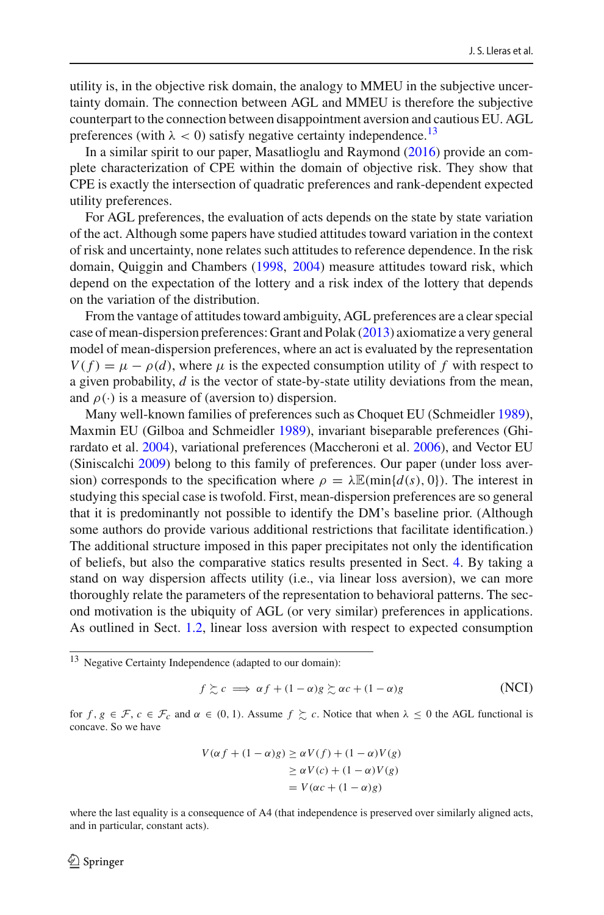utility is, in the objective risk domain, the analogy to MMEU in the subjective uncertainty domain. The connection between AGL and MMEU is therefore the subjective counterpart to the connection between disappointment aversion and cautious EU. AGL preferences (with  $\lambda < 0$ ) satisfy negative certainty independence.<sup>13</sup>

In a similar spirit to our paper, Masatlioglu and Raymon[d](#page-30-26) [\(2016](#page-30-26)) provide an complete characterization of CPE within the domain of objective risk. They show that CPE is exactly the intersection of quadratic preferences and rank-dependent expected utility preferences.

For AGL preferences, the evaluation of acts depends on the state by state variation of the act. Although some papers have studied attitudes toward variation in the context of risk and uncertainty, none relates such attitudes to reference dependence. In the risk domain, Quiggin and Chamber[s](#page-30-27) [\(1998](#page-30-27), [2004](#page-30-28)) measure attitudes toward risk, which depend on the expectation of the lottery and a risk index of the lottery that depends on the variation of the distribution.

From the vantage of attitudes toward ambiguity, AGL preferences are a clear special case of mean-dispersion preferences: Grant and Pola[k](#page-30-29) [\(2013\)](#page-30-29) axiomatize a very general model of mean-dispersion preferences, where an act is evaluated by the representation  $V(f) = \mu - \rho(d)$ , where  $\mu$  is the expected consumption utility of f with respect to a given probability, *d* is the vector of state-by-state utility deviations from the mean, and  $\rho(\cdot)$  is a measure of (aversion to) dispersion.

Many well-known families of preferences such as Choquet EU (Schmeidle[r](#page-30-30) [1989](#page-30-30)), Maxmin EU (Gilboa and Schmeidle[r](#page-30-1) [1989\)](#page-30-1), invariant biseparable preferences (Ghirardato et al[.](#page-30-31) [2004](#page-30-31)), variational preferences (Maccheroni et al[.](#page-30-32) [2006\)](#page-30-32), and Vector EU (Siniscalch[i](#page-30-13) [2009\)](#page-30-13) belong to this family of preferences. Our paper (under loss aversion) corresponds to the specification where  $\rho = \lambda \mathbb{E}(\min\{d(s), 0\})$ . The interest in studying this special case is twofold. First, mean-dispersion preferences are so general that it is predominantly not possible to identify the DM's baseline prior. (Although some authors do provide various additional restrictions that facilitate identification.) The additional structure imposed in this paper precipitates not only the identification of beliefs, but also the comparative statics results presented in Sect. [4.](#page-14-0) By taking a stand on way dispersion affects utility (i.e., via linear loss aversion), we can more thoroughly relate the parameters of the representation to behavioral patterns. The second motivation is the ubiquity of AGL (or very similar) preferences in applications. As outlined in Sect. [1.2,](#page-2-5) linear loss aversion with respect to expected consumption

<span id="page-17-0"></span><sup>13</sup> Negative Certainty Independence (adapted to our domain):

$$
f \succsim c \implies \alpha f + (1 - \alpha)g \succsim \alpha c + (1 - \alpha)g \tag{NCI}
$$

for  $f, g \in \mathcal{F}, c \in \mathcal{F}_c$  and  $\alpha \in (0, 1)$ . Assume  $f \succeq c$ . Notice that when  $\lambda \leq 0$  the AGL functional is concave. So we have

$$
V(\alpha f + (1 - \alpha)g) \ge \alpha V(f) + (1 - \alpha)V(g)
$$
  
\n
$$
\ge \alpha V(c) + (1 - \alpha)V(g)
$$
  
\n
$$
= V(\alpha c + (1 - \alpha)g)
$$

where the last equality is a consequence of A4 (that independence is preserved over similarly aligned acts, and in particular, constant acts).

## $\textcircled{2}$  Springer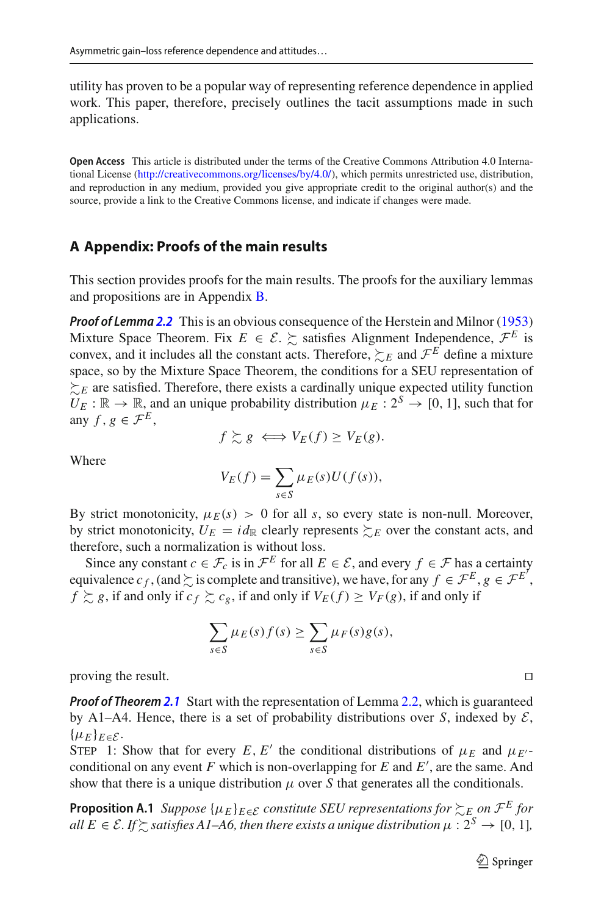utility has proven to be a popular way of representing reference dependence in applied work. This paper, therefore, precisely outlines the tacit assumptions made in such applications.

**Open Access** This article is distributed under the terms of the Creative Commons Attribution 4.0 International License [\(http://creativecommons.org/licenses/by/4.0/\)](http://creativecommons.org/licenses/by/4.0/), which permits unrestricted use, distribution, and reproduction in any medium, provided you give appropriate credit to the original author(s) and the source, provide a link to the Creative Commons license, and indicate if changes were made.

# **A Appendix: Proofs of the main results**

This section provides proofs for the main results. The proofs for the auxiliary lemmas and propositions are in Appendix [B.](#page-5-0)

*Proof of Lemma [2.2](#page-10-0)* This is an obvious consequence of the Herstein and Milno[r](#page-30-33) [\(1953\)](#page-30-33) Mixture Space Theorem. Fix  $E \in \mathcal{E} \ge \infty$  satisfies Alignment Independence,  $\mathcal{F}^E$  is convex, and it includes all the constant acts. Therefore,  $\succsim_{E}$  and  $\mathcal{F}^{E}$  define a mixture space, so by the Mixture Space Theorem, the conditions for a SEU representation of  $\succsim_{E}$  are satisfied. Therefore, there exists a cardinally unique expected utility function  $U_F : \mathbb{R} \to \mathbb{R}$ , and an unique probability distribution  $\mu_F : 2^S \to [0, 1]$ , such that for any  $f, g \in \mathcal{F}^E$ ,

$$
f \succsim g \iff V_E(f) \geq V_E(g).
$$

Where

$$
V_E(f) = \sum_{s \in S} \mu_E(s) U(f(s)),
$$

By strict monotonicity,  $\mu_E(s) > 0$  for all *s*, so every state is non-null. Moreover, by strict monotonicity,  $U_E = id_{\mathbb{R}}$  clearly represents  $\succsim_E$  over the constant acts, and therefore, such a normalization is without loss.

Since any constant  $c \in \mathcal{F}_c$  is in  $\mathcal{F}^E$  for all  $E \in \mathcal{E}$ , and every  $f \in \mathcal{F}$  has a certainty equivalence  $c_f$ , (and  $\succsim$  is complete and transitive), we have, for any  $f \in \mathcal{F}^E$ ,  $g \in \mathcal{F}^{E'}$ , *f*  $\succsim g$ , if and only if  $c_f \succsim c_g$ , if and only if  $V_E(f) \geq V_F(g)$ , if and only if

$$
\sum_{s \in S} \mu_E(s) f(s) \ge \sum_{s \in S} \mu_F(s) g(s),
$$

proving the result.

*Proof of Theorem [2.1](#page-9-0)* Start with the representation of Lemma [2.2,](#page-10-0) which is guaranteed by A1–A4. Hence, there is a set of probability distributions over *S*, indexed by  $\mathcal{E}$ ,  $\{\mu_E\}_{E\in\mathcal{E}}$ .

STEP 1: Show that for every *E*, *E'* the conditional distributions of  $\mu_E$  and  $\mu_{E'}$ conditional on any event  $F$  which is non-overlapping for  $E$  and  $E'$ , are the same. And show that there is a unique distribution  $\mu$  over *S* that generates all the conditionals.

<span id="page-18-0"></span>**Proposition A.1** *Suppose*  $\{\mu_E\}_{E \in \mathcal{E}}$  *constitute SEU representations for*  $\sum_E$  *on*  $\mathcal{F}^E$  *for* all  $E \in \mathcal{E}$ . If  $\succsim$  satisfies A1–A6, then there exists a unique distribution  $\mu : 2^S \to [0, 1]$ ,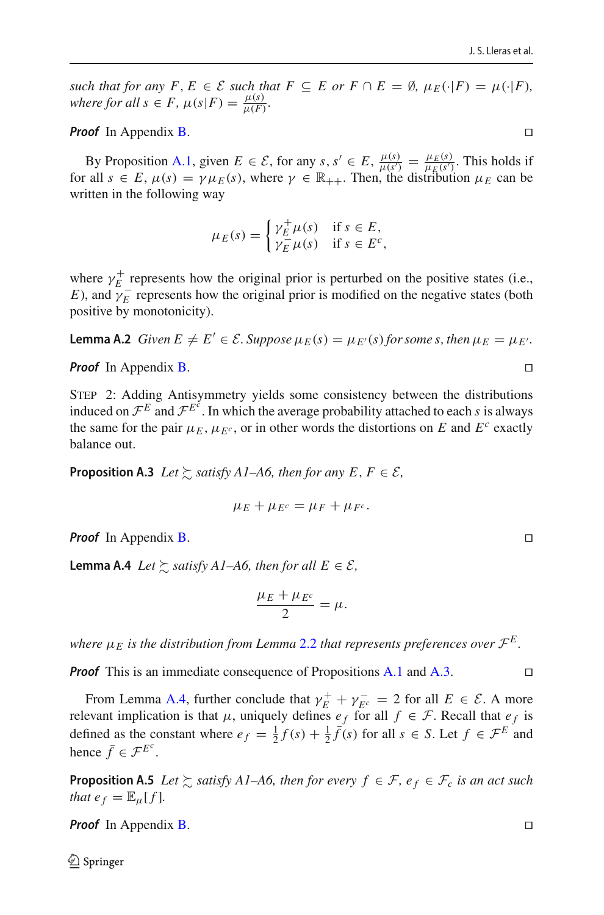*such that for any*  $F, E \in \mathcal{E}$  *such that*  $F \subseteq E$  *or*  $F \cap E = \emptyset$ ,  $\mu_E(\cdot|F) = \mu(\cdot|F)$ , *where for all*  $s \in F$ ,  $\mu(s|F) = \frac{\mu(s)}{\mu(F)}$ .

*Proof* In Appendix [B.](#page-5-0)

By Proposition [A.1,](#page-18-0) given  $E \in \mathcal{E}$ , for any  $s, s' \in E$ ,  $\frac{\mu(s)}{\mu(s')} = \frac{\mu_E(s)}{\mu_E(s')}$ . This holds if for all  $s \in E$ ,  $\mu(s) = \gamma \mu_E(s)$ , where  $\gamma \in \mathbb{R}_{++}$ . Then, the distribution  $\mu_E$  can be written in the following way

$$
\mu_E(s) = \begin{cases} \gamma_E^+ \mu(s) & \text{if } s \in E, \\ \gamma_E^- \mu(s) & \text{if } s \in E^c, \end{cases}
$$

where  $\gamma_E^+$  represents how the original prior is perturbed on the positive states (i.e., *E*), and  $\gamma_{E}^{-}$  represents how the original prior is modified on the negative states (both positive by monotonicity).

<span id="page-19-3"></span>**Lemma A.2** *Given*  $E \neq E' \in \mathcal{E}$ . *Suppose*  $\mu_E(s) = \mu_{E'}(s)$  *for some s, then*  $\mu_E = \mu_{E'}$ .

*Proof* In Appendix [B.](#page-5-0)

Step 2: Adding Antisymmetry yields some consistency between the distributions induced on  $\mathcal{F}^E$  and  $\mathcal{F}^{E^c}$ . In which the average probability attached to each *s* is always the same for the pair  $\mu_E$ ,  $\mu_{E^c}$ , or in other words the distortions on *E* and  $E^c$  exactly balance out.

<span id="page-19-0"></span>**Proposition A.3** *Let*  $\gtrsim$  *satisfy A1–A6, then for any E, F*  $\in \mathcal{E}$ *,* 

$$
\mu_E + \mu_{E^c} = \mu_F + \mu_{F^c}.
$$

<span id="page-19-1"></span>*Proof* In Appendix [B.](#page-5-0) □

**Lemma A.4** *Let*  $\succsim$  *satisfy A1–A6, then for all*  $E \in \mathcal{E}$ *,* 

$$
\frac{\mu_E + \mu_{E^c}}{2} = \mu.
$$

*where*  $\mu_E$  *is the distribution from Lemma [2.2](#page-10-0) that represents preferences over*  $\mathcal{F}^E$ *.* 

*Proof* This is an immediate consequence of Propositions [A.1](#page-18-0) and [A.3.](#page-19-0) □

From Lemma [A.4,](#page-19-1) further conclude that  $\gamma_E^+ + \gamma_{E^c}^- = 2$  for all  $E \in \mathcal{E}$ . A more relevant implication is that  $\mu$ , uniquely defines  $e_f$  for all  $f \in \mathcal{F}$ . Recall that  $e_f$  is defined as the constant where  $e_f = \frac{1}{2}f(s) + \frac{1}{2}\bar{f}(s)$  for all  $s \in S$ . Let  $f \in \mathcal{F}^E$  and hence  $\bar{f} \in \mathcal{F}^{E^c}$ .

<span id="page-19-2"></span>**Proposition A.5** *Let*  $\succsim$  *satisfy A1–A6, then for every*  $f \in \mathcal{F}$ *,*  $e_f \in \mathcal{F}_c$  *is an act such that*  $e_f = \mathbb{E}_{\mu}[f]$ *.* 

*Proof* In Appendix [B.](#page-5-0)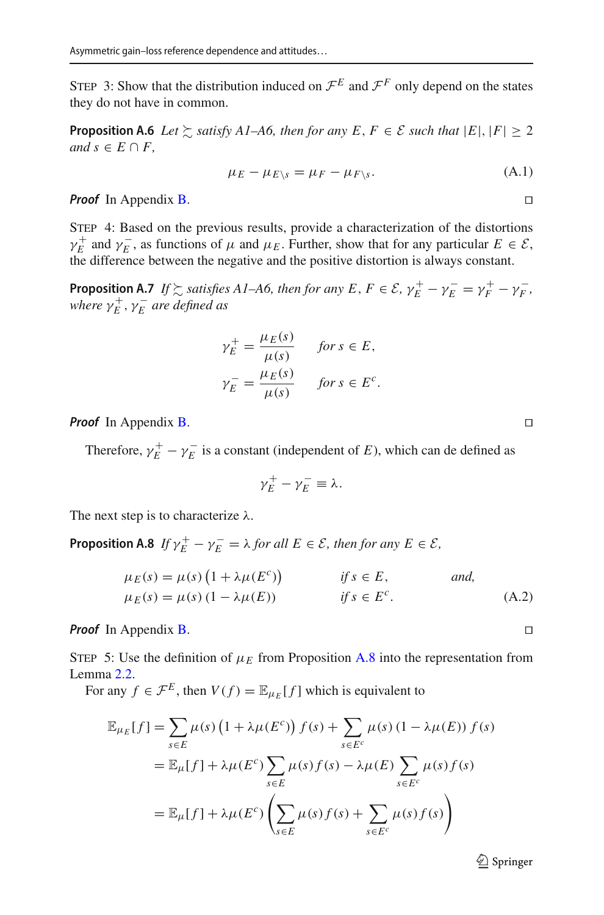<span id="page-20-1"></span>STEP 3: Show that the distribution induced on  $\mathcal{F}^E$  and  $\mathcal{F}^F$  only depend on the states they do not have in common.

**Proposition A.6** *Let*  $\succsim$  *satisfy A1–A6, then for any E, F*  $\in \mathcal{E}$  *such that*  $|E|, |F| \geq 2$ *and*  $s \in E \cap F$ ,

$$
\mu_E - \mu_{E \setminus s} = \mu_F - \mu_{F \setminus s}.\tag{A.1}
$$

*Proof* In Appendix [B.](#page-5-0)

Step 4: Based on the previous results, provide a characterization of the distortions  $\gamma_E^+$  and  $\gamma_E^-$ , as functions of  $\mu$  and  $\mu_E$ . Further, show that for any particular  $E \in \mathcal{E}$ , the difference between the negative and the positive distortion is always constant.

<span id="page-20-2"></span>**Proposition A.7** *If*  $\succsim$  *satisfies A1–A6, then for any E, F*  $\in \mathcal{E}$ ,  $\gamma_E^+ - \gamma_F^- = \gamma_F^+ - \gamma_F^-$ , where  $\gamma_E^+,\gamma_E^-$  are defined as

$$
\gamma_E^+ = \frac{\mu_E(s)}{\mu(s)} \quad \text{for } s \in E,
$$
  

$$
\gamma_E^- = \frac{\mu_E(s)}{\mu(s)} \quad \text{for } s \in E^c.
$$

*Proof* In Appendix [B.](#page-5-0)

Therefore,  $\gamma_E^+ - \gamma_E^-$  is a constant (independent of *E*), which can de defined as

$$
\gamma_E^+ - \gamma_E^- \equiv \lambda.
$$

<span id="page-20-0"></span>The next step is to characterize  $\lambda$ .

**Proposition A.8** *If*  $\gamma_E^+ - \gamma_E^- = \lambda$  *for all*  $E \in \mathcal{E}$ *, then for any*  $E \in \mathcal{E}$ *,* 

$$
\mu_E(s) = \mu(s) \left( 1 + \lambda \mu(E^c) \right) \qquad \text{if } s \in E, \qquad \text{and,}
$$
  

$$
\mu_E(s) = \mu(s) \left( 1 - \lambda \mu(E) \right) \qquad \text{if } s \in E^c. \qquad \text{(A.2)}
$$

*Proof* In Appendix [B.](#page-5-0)

STEP 5: Use the definition of  $\mu_E$  from Proposition [A.8](#page-20-0) into the representation from Lemma [2.2.](#page-10-0)

For any  $f \in \mathcal{F}^E$ , then  $V(f) = \mathbb{E}_{u} [f]$  which is equivalent to

$$
\mathbb{E}_{\mu_E}[f] = \sum_{s \in E} \mu(s) \left(1 + \lambda \mu(E^c)\right) f(s) + \sum_{s \in E^c} \mu(s) \left(1 - \lambda \mu(E)\right) f(s)
$$
\n
$$
= \mathbb{E}_{\mu}[f] + \lambda \mu(E^c) \sum_{s \in E} \mu(s) f(s) - \lambda \mu(E) \sum_{s \in E^c} \mu(s) f(s)
$$
\n
$$
= \mathbb{E}_{\mu}[f] + \lambda \mu(E^c) \left(\sum_{s \in E} \mu(s) f(s) + \sum_{s \in E^c} \mu(s) f(s)\right)
$$

 $\mathcal{D}$  Springer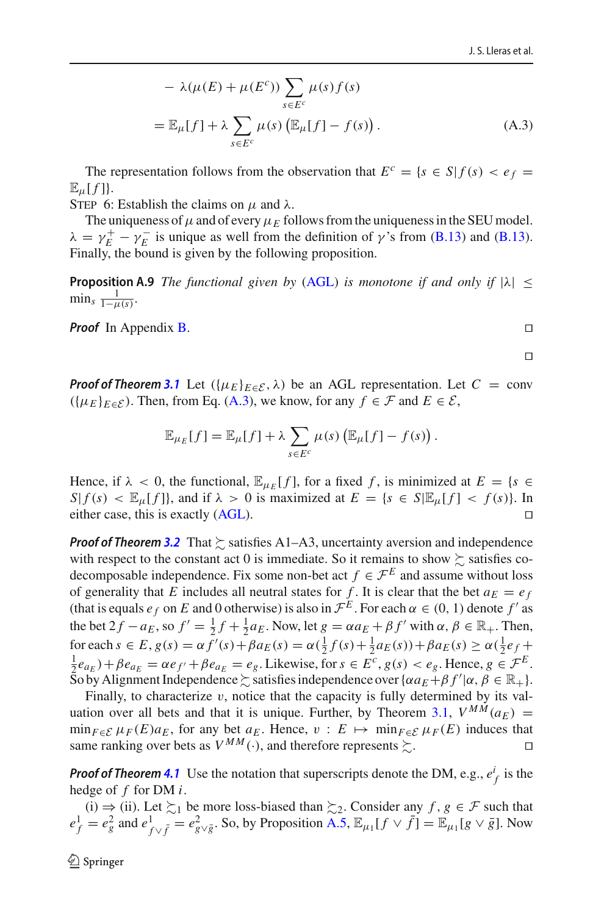$$
- \lambda(\mu(E) + \mu(E^{c})) \sum_{s \in E^{c}} \mu(s) f(s)
$$
  
=  $\mathbb{E}_{\mu}[f] + \lambda \sum_{s \in E^{c}} \mu(s) (\mathbb{E}_{\mu}[f] - f(s)).$  (A.3)

The representation follows from the observation that  $E^c = \{s \in S | f(s) < e_f = f(s) \}$  $\mathbb{E}_{\mu}[f]$ .

STEP 6: Establish the claims on  $\mu$  and  $\lambda$ .

The uniqueness of  $\mu$  and of every  $\mu_E$  follows from the uniqueness in the SEU model.  $\lambda = \gamma_E^+ - \gamma_E^-$  is unique as well from the definition of  $\gamma$ 's from [\(B.13\)](#page-28-0) and (B.13). Finally, the bound is given by the following proposition.

<span id="page-21-1"></span>**Proposition A.9** *The functional given by* [\(AGL\)](#page-9-1) *is monotone if and only if*  $|\lambda| \le$  $\min_{s} \frac{1}{1-\mu(s)}$ .

*Proof* In Appendix [B.](#page-5-0)

<span id="page-21-0"></span>

$$
\Box
$$

*Proof of Theorem* [3.1](#page-12-1) Let  $({\mu_E}_{E \in \mathcal{E}}, \lambda)$  be an AGL representation. Let  $C = \text{conv}$  $({\mu_E}_{E \in \mathcal{E}})$ . Then, from Eq. [\(A.3\)](#page-21-0), we know, for any  $f \in \mathcal{F}$  and  $E \in \mathcal{E}$ ,

$$
\mathbb{E}_{\mu_E}[f] = \mathbb{E}_{\mu}[f] + \lambda \sum_{s \in E^c} \mu(s) \left( \mathbb{E}_{\mu}[f] - f(s) \right).
$$

Hence, if  $\lambda < 0$ , the functional,  $\mathbb{E}_{\mu_F}[f]$ , for a fixed f, is minimized at  $E = \{s \in$ *S*|  $f(s) < \mathbb{E}_{\mu}[f]$ }, and if  $\lambda > 0$  is maximized at  $E = \{s \in S | \mathbb{E}_{\mu}[f] < f(s)\}$ . In either case, this is exactly (AGL). either case, this is exactly [\(AGL\)](#page-9-1).

**Proof of Theorem [3.2](#page-14-3)** That  $\gtrsim$  satisfies A1–A3, uncertainty aversion and independence with respect to the constant act 0 is immediate. So it remains to show  $\succsim$  satisfies codecomposable independence. Fix some non-bet act  $f \in \mathcal{F}^E$  and assume without loss of generality that *E* includes all neutral states for *f*. It is clear that the bet  $a_E = e_f$ (that is equals  $e_f$  on *E* and 0 otherwise) is also in  $\mathcal{F}^E$ . For each  $\alpha \in (0, 1)$  denote  $f'$  as the bet  $2f - a_E$ , so  $f' = \frac{1}{2}f + \frac{1}{2}a_E$ . Now, let  $g = \alpha a_E + \beta f'$  with  $\alpha, \beta \in \mathbb{R}_+$ . Then,  $\int \cot \theta \, ds \in E$ ,  $g(s) = \alpha f'(s) + \beta a_E(s) = \alpha(\frac{1}{2}f(s) + \frac{1}{2}a_E(s)) + \beta a_E(s) \ge \alpha(\frac{1}{2}e_f + \frac{1}{2}a_E(s)) + \beta a_E(s)$  $\frac{1}{2}e_{a_E}$ ) +  $\beta e_{a_E} = \alpha e_{f'} + \beta e_{a_E} = e_g$ . Likewise, for  $s \in E^c$ ,  $g(s) < e_g$ . Hence,  $g \in \mathcal{F}^E$ . So by Alignment Independence  $\geq$  satisfies independence over  $\{\alpha a_E + \beta f' | \alpha, \beta \in \mathbb{R}_+\}.$ 

Finally, to characterize  $v$ , notice that the capacity is fully determined by its val-uation over all bets and that it is unique. Further, by Theorem [3.1,](#page-12-1)  $V^{M\dot{M}}(a_E)$  =  $\min_{F \in \mathcal{E}} \mu_F(E) a_E$ , for any bet  $a_E$ . Hence,  $v : E \mapsto \min_{F \in \mathcal{E}} \mu_F(E)$  induces that same ranking over bets as  $V^{MM}(\cdot)$ , and therefore represents  $\sum$ . . — Первой Стании, производите с производите с производите с производите с производите с производите с произво<br>В село в село в село в село в село в село в село в село в село в село в село в село в село в село в село в се<br>

**Proof of Theorem [4.1](#page-15-0)** Use the notation that superscripts denote the DM, e.g.,  $e_f^i$  is the hedge of *f* for DM *i*.

(i)  $\Rightarrow$  (ii). Let  $\succsim_1$  be more loss-biased than  $\succsim_2$ . Consider any *f*, *g* ∈ *F* such that  $e_f^1 = e_g^2$  and  $e_{f\vee \bar{f}}^1 = e_{g\vee \bar{g}}^2$ . So, by Proposition [A.5,](#page-19-2)  $\mathbb{E}_{\mu_1}[f \vee \bar{f}] = \mathbb{E}_{\mu_1}[g \vee \bar{g}]$ . Now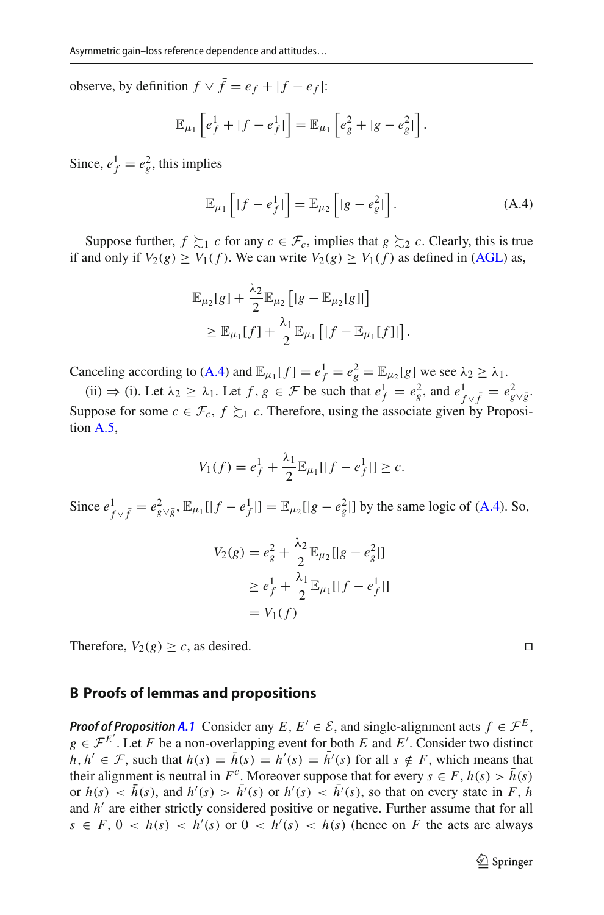observe, by definition  $f \vee \overline{f} = e_f + |f - e_f|$ :

$$
\mathbb{E}_{\mu_1}\left[e_f^1+|f-e_f^1|\right]=\mathbb{E}_{\mu_1}\left[e_g^2+|g-e_g^2|\right].
$$

Since,  $e_f^1 = e_g^2$ , this implies

<span id="page-22-0"></span>
$$
\mathbb{E}_{\mu_1}\left[|f - e_f^1|\right] = \mathbb{E}_{\mu_2}\left[|g - e_g^2|\right].\tag{A.4}
$$

Suppose further,  $f \succsim_1 c$  for any  $c \in \mathcal{F}_c$ , implies that  $g \succsim_2 c$ . Clearly, this is true if and only if  $V_2(g) \ge V_1(f)$ . We can write  $V_2(g) \ge V_1(f)$  as defined in [\(AGL\)](#page-9-1) as,

$$
\mathbb{E}_{\mu_2}[g] + \frac{\lambda_2}{2} \mathbb{E}_{\mu_2} [|g - \mathbb{E}_{\mu_2}[g]|]
$$
  
\n
$$
\geq \mathbb{E}_{\mu_1}[f] + \frac{\lambda_1}{2} \mathbb{E}_{\mu_1} [[f - \mathbb{E}_{\mu_1}[f]|].
$$

Canceling according to [\(A.4\)](#page-22-0) and  $\mathbb{E}_{\mu_1}[f] = e_f^1 = e_g^2 = \mathbb{E}_{\mu_2}[g]$  we see  $\lambda_2 \ge \lambda_1$ .

(ii)  $\Rightarrow$  (i). Let  $\lambda_2 \geq \lambda_1$ . Let  $f, g \in \mathcal{F}$  be such that  $e^1_f = e^2_g$ , and  $e^1_{f \vee \bar{f}} = e^2_{g \vee \bar{g}}$ . Suppose for some  $c \in \mathcal{F}_c$ ,  $f \succsim_1 c$ . Therefore, using the associate given by Proposition [A.5,](#page-19-2)

$$
V_1(f) = e_f^1 + \frac{\lambda_1}{2} \mathbb{E}_{\mu_1}[|f - e_f^1|] \ge c.
$$

Since  $e_{f \vee \bar{f}}^1 = e_{g \vee \bar{g}}^2$ ,  $\mathbb{E}_{\mu_1}[[f - e_f^1]] = \mathbb{E}_{\mu_2}[[g - e_g^2]]$  by the same logic of [\(A.4\)](#page-22-0). So,

$$
V_2(g) = e_g^2 + \frac{\lambda_2}{2} \mathbb{E}_{\mu_2}[|g - e_g^2|]
$$
  
\n
$$
\ge e_f^1 + \frac{\lambda_1}{2} \mathbb{E}_{\mu_1}[|f - e_f^1|]
$$
  
\n
$$
= V_1(f)
$$

Therefore,  $V_2(g) \ge c$ , as desired.

# **B Proofs of lemmas and propositions**

*Proof of Proposition [A.1](#page-18-0)* Consider any *E*,  $E' \in \mathcal{E}$ , and single-alignment acts  $f \in \mathcal{F}^E$ ,  $g \in \mathcal{F}^{E'}$ . Let *F* be a non-overlapping event for both *E* and *E*<sup>'</sup>. Consider two distinct *h*, *h*<sup> $′$ </sup> ∈ *F*, such that *h*(*s*) = *h*(*s*) = *h*<sup> $′$ </sup>(*s*) = *h*<sup> $′$ </sup>(*s*) for all *s* ∉ *F*, which means that their alignment is neutral in  $F^c$ . Moreover suppose that for every  $s \in F$ ,  $h(s) > \bar{h}(s)$ or  $h(s) < h(s)$ , and  $h'(s) > h'(s)$  or  $h'(s) < h'(s)$ , so that on every state in *F*, *h* and *h*<sup>'</sup> are either strictly considered positive or negative. Further assume that for all  $s \in F$ ,  $0 < h(s) < h'(s)$  or  $0 < h'(s) < h(s)$  (hence on *F* the acts are always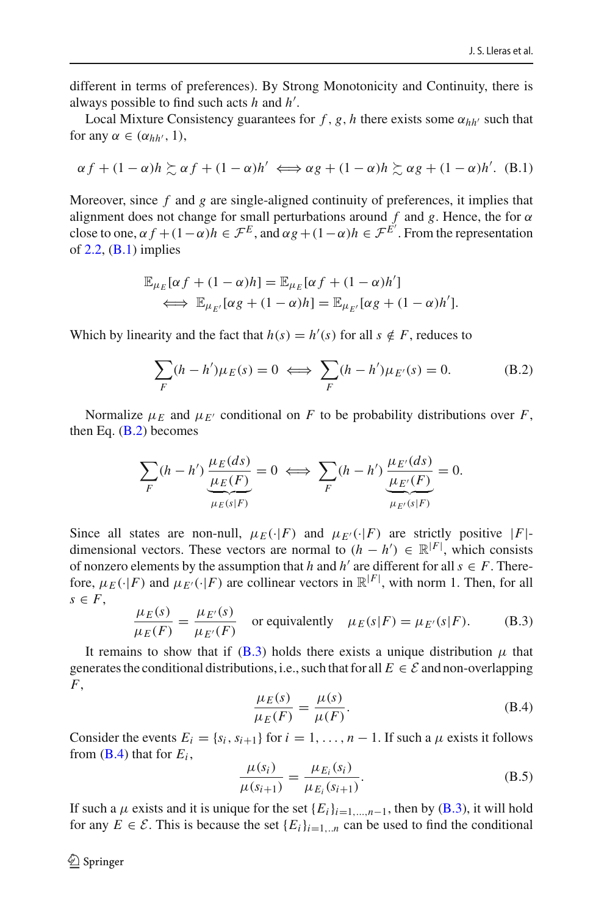different in terms of preferences). By Strong Monotonicity and Continuity, there is always possible to find such acts *h* and *h'*.

Local Mixture Consistency guarantees for  $f$ ,  $g$ ,  $h$  there exists some  $\alpha_{hh'}$  such that for any  $\alpha \in (\alpha_{hh'}, 1)$ ,

$$
\alpha f + (1 - \alpha)h \gtrsim \alpha f + (1 - \alpha)h' \iff \alpha g + (1 - \alpha)h \gtrsim \alpha g + (1 - \alpha)h'. \quad (B.1)
$$

Moreover, since *f* and *g* are single-aligned continuity of preferences, it implies that alignment does not change for small perturbations around  $f$  and  $g$ . Hence, the for  $\alpha$ close to one,  $\alpha f + (1 - \alpha)h \in \mathcal{F}^E$ , and  $\alpha g + (1 - \alpha)h \in \mathcal{F}^{E'}$ . From the representation of  $2.2$ ,  $(B.1)$  implies

$$
\mathbb{E}_{\mu_E}[\alpha f + (1 - \alpha)h] = \mathbb{E}_{\mu_E}[\alpha f + (1 - \alpha)h']
$$
  

$$
\iff \mathbb{E}_{\mu_{E'}}[\alpha g + (1 - \alpha)h] = \mathbb{E}_{\mu_{E'}}[\alpha g + (1 - \alpha)h'].
$$

Which by linearity and the fact that  $h(s) = h'(s)$  for all  $s \notin F$ , reduces to

<span id="page-23-0"></span>
$$
\sum_{F} (h - h')\mu_E(s) = 0 \iff \sum_{F} (h - h')\mu_{E'}(s) = 0.
$$
 (B.2)

Normalize  $\mu_F$  and  $\mu_{F'}$  conditional on *F* to be probability distributions over *F*, then Eq.  $(B.2)$  becomes

$$
\sum_{F} (h - h') \underbrace{\frac{\mu_E(ds)}{\mu_E(F)}}_{\mu_E(s|F)} = 0 \iff \sum_{F} (h - h') \underbrace{\frac{\mu_{E'}(ds)}{\mu_{E'}(F)}}_{\mu_{E'}(s|F)} = 0.
$$

Since all states are non-null,  $\mu_E(\cdot|F)$  and  $\mu_{E'}(\cdot|F)$  are strictly positive  $|F|$ dimensional vectors. These vectors are normal to  $(h - h') \in \mathbb{R}^{|F|}$ , which consists of nonzero elements by the assumption that *h* and *h'* are different for all  $s \in F$ . Therefore,  $\mu_E(\cdot|F)$  and  $\mu_{E'}(\cdot|F)$  are collinear vectors in  $\mathbb{R}^{|F|}$ , with norm 1. Then, for all  $s \in F$ ,

<span id="page-23-1"></span>
$$
\frac{\mu_E(s)}{\mu_E(F)} = \frac{\mu_{E'}(s)}{\mu_{E'}(F)}
$$
 or equivalently  $\mu_E(s|F) = \mu_{E'}(s|F).$  (B.3)

It remains to show that if [\(B.3\)](#page-23-1) holds there exists a unique distribution  $\mu$  that generates the conditional distributions, i.e., such that for all  $E \in \mathcal{E}$  and non-overlapping  $F$ ,  $F$ ,  $\mu_E(s)$ 

<span id="page-23-2"></span>
$$
\frac{\mu_E(s)}{\mu_E(F)} = \frac{\mu(s)}{\mu(F)}.
$$
\n(B.4)

Consider the events  $E_i = \{s_i, s_{i+1}\}\$  for  $i = 1, \ldots, n-1$ . If such a  $\mu$  exists it follows from  $(B.4)$  that for  $E_i$ ,

<span id="page-23-3"></span>
$$
\frac{\mu(s_i)}{\mu(s_{i+1})} = \frac{\mu_{E_i}(s_i)}{\mu_{E_i}(s_{i+1})}.
$$
\n(B.5)

If such a  $\mu$  exists and it is unique for the set  ${E_i}_{i=1,\dots,n-1}$ , then by [\(B.3\)](#page-23-1), it will hold for any  $E \in \mathcal{E}$ . This is because the set  $\{E_i\}_{i=1...n}$  can be used to find the conditional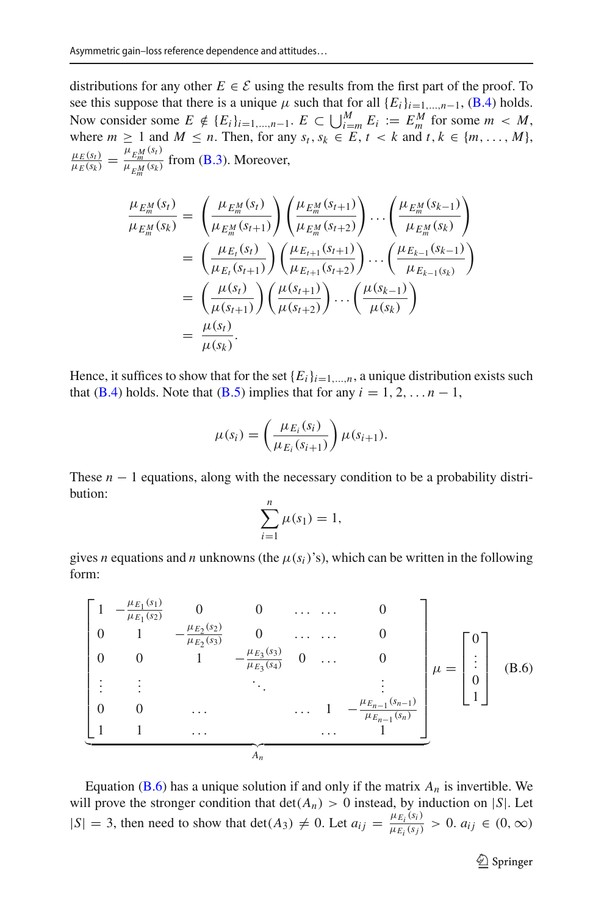distributions for any other  $E \in \mathcal{E}$  using the results from the first part of the proof. To see this suppose that there is a unique  $\mu$  such that for all  $\{E_i\}_{i=1,\dots,n-1}$ , [\(B.4\)](#page-23-2) holds. Now consider some *E* ∉ { $E_i$ }<sub>*i*=1,...,*n*−1. *E* ⊂  $\bigcup_{i=m}^{M} E_i := E_m^M$  for some *m* < *M*,</sub> where  $m \geq 1$  and  $M \leq n$ . Then, for any  $s_t, s_k \in E, t \leq k$  and  $t, k \in \{m, \ldots, M\}$ ,  $\frac{\mu_E(s_t)}{\mu_E(s_k)} = \frac{\mu_{EM}(s_t)}{\mu_{EM}(s_k)}$  $\frac{E_m}{\mu_{E_m^M}(s_k)}$  from (**B.3**). Moreover,

$$
\frac{\mu_{E_m^M}(s_t)}{\mu_{E_m^M}(s_k)} = \left(\frac{\mu_{E_m^M}(s_t)}{\mu_{E_m^M}(s_{t+1})}\right) \left(\frac{\mu_{E_m^M}(s_{t+1})}{\mu_{E_m^M}(s_{t+2})}\right) \cdots \left(\frac{\mu_{E_m^M}(s_{k-1})}{\mu_{E_m^M}(s_k)}\right)
$$
\n
$$
= \left(\frac{\mu_{E_t}(s_t)}{\mu_{E_t}(s_{t+1})}\right) \left(\frac{\mu_{E_{t+1}}(s_{t+1})}{\mu_{E_{t+1}}(s_{t+2})}\right) \cdots \left(\frac{\mu_{E_{k-1}}(s_{k-1})}{\mu_{E_{k-1}(s_k)}}\right)
$$
\n
$$
= \left(\frac{\mu(s_t)}{\mu(s_{t+1})}\right) \left(\frac{\mu(s_{t+1})}{\mu(s_{t+2})}\right) \cdots \left(\frac{\mu(s_{k-1})}{\mu(s_k)}\right)
$$
\n
$$
= \frac{\mu(s_t)}{\mu(s_t)}.
$$

Hence, it suffices to show that for the set  ${E_i}_{i=1,\ldots,n}$ , a unique distribution exists such that [\(B.4\)](#page-23-2) holds. Note that [\(B.5\)](#page-23-3) implies that for any  $i = 1, 2, \ldots n - 1$ ,

$$
\mu(s_i) = \left(\frac{\mu_{E_i}(s_i)}{\mu_{E_i}(s_{i+1})}\right) \mu(s_{i+1}).
$$

These  $n - 1$  equations, along with the necessary condition to be a probability distribution:

$$
\sum_{i=1}^n \mu(s_1) = 1,
$$

gives *n* equations and *n* unknowns (the  $\mu(s_i)$ 's), which can be written in the following form:

<span id="page-24-0"></span>
$$
\begin{bmatrix}\n1 & -\frac{\mu_{E_1}(s_1)}{\mu_{E_1}(s_2)} & 0 & 0 & \dots & 0 \\
0 & 1 & -\frac{\mu_{E_2}(s_2)}{\mu_{E_2}(s_3)} & 0 & \dots & 0 \\
0 & 0 & 1 & -\frac{\mu_{E_3}(s_3)}{\mu_{E_3}(s_4)} & 0 & \dots & 0 \\
\vdots & \vdots & \ddots & \vdots & \vdots \\
0 & 0 & \dots & \dots & 1 & -\frac{\mu_{E_{n-1}}(s_{n-1})}{\mu_{E_{n-1}}(s_n)}\n\end{bmatrix}\n\mu =\n\begin{bmatrix}\n0 \\
\vdots \\
0 \\
1\n\end{bmatrix}
$$
\n(B.6)

Equation ( $B.6$ ) has a unique solution if and only if the matrix  $A_n$  is invertible. We will prove the stronger condition that  $det(A_n) > 0$  instead, by induction on |*S*|. Let  $|S| = 3$ , then need to show that det(*A*<sub>3</sub>)  $\neq 0$ . Let  $a_{ij} = \frac{\mu_{E_i}(s_i)}{\mu_{E_i}(s_j)} > 0$ .  $a_{ij} \in (0, \infty)$ 

<sup>2</sup> Springer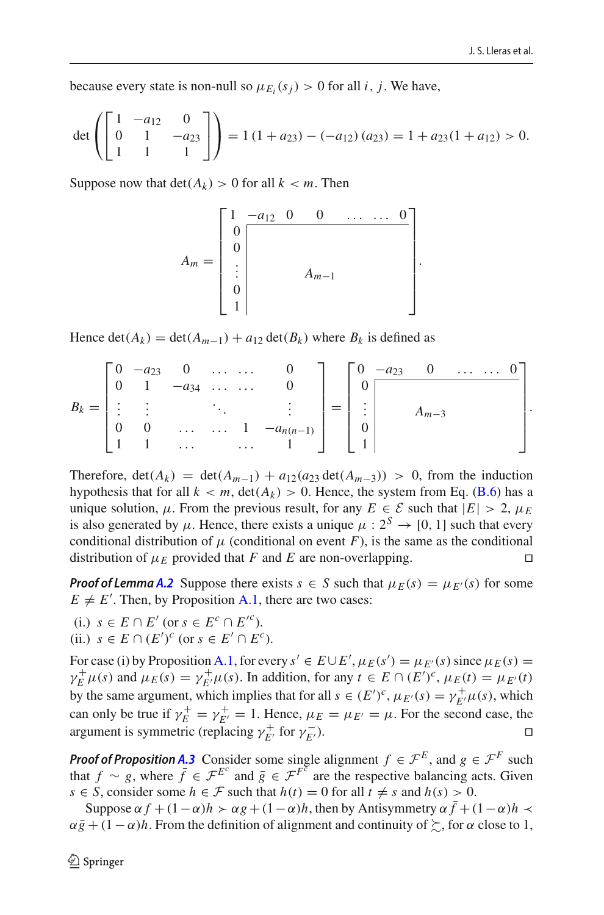because every state is non-null so  $\mu_{E_i}(s_i) > 0$  for all *i*, *j*. We have,

$$
\det\left(\begin{bmatrix} 1 & -a_{12} & 0 \\ 0 & 1 & -a_{23} \\ 1 & 1 & 1 \end{bmatrix}\right) = 1\left(1 + a_{23}\right) - \left(-a_{12}\right)(a_{23}) = 1 + a_{23}(1 + a_{12}) > 0.
$$

Suppose now that  $\det(A_k) > 0$  for all  $k < m$ . Then

$$
A_m = \begin{bmatrix} 1 & -a_{12} & 0 & 0 & \dots & \dots & 0 \\ 0 & & & & \\ \vdots & & & & \\ 0 & & & & \\ 0 & & & & \\ 1 & & & & \end{bmatrix}.
$$

Hence det( $A_k$ ) = det( $A_{m-1}$ ) +  $a_{12}$  det( $B_k$ ) where  $B_k$  is defined as

$$
B_k = \begin{bmatrix} 0 & -a_{23} & 0 & \dots & \dots & 0 \\ 0 & 1 & -a_{34} & \dots & \dots & 0 \\ \vdots & \vdots & & \ddots & & \vdots \\ 0 & 0 & \dots & \dots & 1 & -a_{n(n-1)} \\ 1 & 1 & \dots & & \dots & 1 \end{bmatrix} = \begin{bmatrix} 0 & -a_{23} & 0 & \dots & \dots & 0 \\ 0 & & & & \\ \vdots & & & & \\ 0 & & & & \\ 1 & & & & \end{bmatrix}.
$$

Therefore,  $det(A_k) = det(A_{m-1}) + a_{12}(a_{23} det(A_{m-3})) > 0$ , from the induction hypothesis that for all  $k < m$ ,  $det(A_k) > 0$ . Hence, the system from Eq. [\(B.6\)](#page-24-0) has a unique solution,  $\mu$ . From the previous result, for any  $E \in \mathcal{E}$  such that  $|E| > 2$ ,  $\mu_E$ is also generated by  $\mu$ . Hence, there exists a unique  $\mu$  :  $2^S \rightarrow [0, 1]$  such that every conditional distribution of  $\mu$  (conditional on event *F*), is the same as the conditional distribution of  $\mu_E$  provided that *F* and *E* are non-overlapping.

*Proof of Lemma [A.2](#page-19-3)* Suppose there exists  $s \in S$  such that  $\mu_E(s) = \mu_{E'}(s)$  for some  $E \neq E'$ . Then, by Proposition [A.1,](#page-18-0) there are two cases:

(i.) *s* ∈ *E* ∩ *E*<sup>*'*</sup> (or *s* ∈ *E<sup>c</sup>* ∩ *E<sup>'<sup>c</sup>*</sup>). (ii.)  $s \in E \cap (E')^c$  (or  $s \in E' \cap E^c$ ).

For case (i) by Proposition [A.1,](#page-18-0) for every  $s' \in E \cup E'$ ,  $\mu_E(s') = \mu_{E'}(s)$  since  $\mu_E(s) =$  $\gamma_E^+ \mu(s)$  and  $\mu_E(s) = \gamma_{E'}^+ \mu(s)$ . In addition, for any  $t \in E \cap (E')^c$ ,  $\mu_E(t) = \mu_{E'}(t)$ by the same argument, which implies that for all  $s \in (E')^c$ ,  $\mu_{E'}(s) = \gamma_{E'}^+ \mu(s)$ , which can only be true if  $\gamma_E^+ = \gamma_{E'}^+ = 1$ . Hence,  $\mu_E = \mu_{E'} = \mu$ . For the second case, the argument is symmetric (replacing  $\gamma_{E'}^+$  for  $\gamma_{E'}^ \overline{E'}$ ).

*Proof of Proposition [A.3](#page-19-0)* Consider some single alignment  $f \in \mathcal{F}^E$ , and  $g \in \mathcal{F}^F$  such that *f* ∼ *g*, where  $\bar{f} \in \mathcal{F}^{E^c}$  and  $\bar{g} \in \mathcal{F}^{F^c}$  are the respective balancing acts. Given *s* ∈ *S*, consider some *h* ∈ *F* such that *h*(*t*) = 0 for all *t*  $\neq$  *s* and *h*(*s*) > 0.

Suppose  $\alpha f + (1 - \alpha)h > \alpha g + (1 - \alpha)h$ , then by Antisymmetry  $\alpha f + (1 - \alpha)h <$  $\alpha \bar{g} + (1 - \alpha)h$ . From the definition of alignment and continuity of  $\succsim$ , for  $\alpha$  close to 1,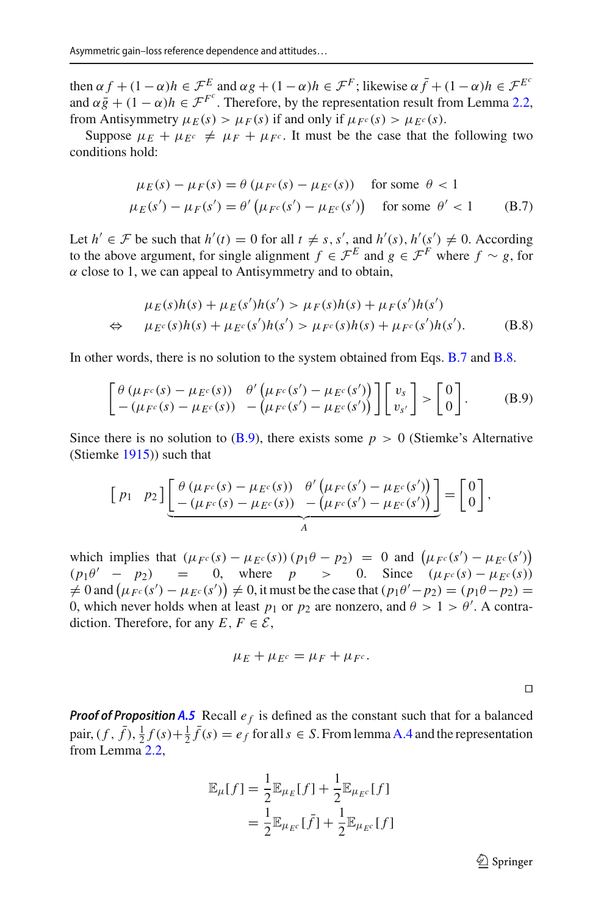then  $\alpha f + (1 - \alpha)h \in \mathcal{F}^E$  and  $\alpha g + (1 - \alpha)h \in \mathcal{F}^F$ ; likewise  $\alpha \bar{f} + (1 - \alpha)h \in \mathcal{F}^{E^c}$ and  $\alpha \bar{g} + (1 - \alpha)h \in \mathcal{F}^{F^c}$ . Therefore, by the representation result from Lemma [2.2,](#page-10-0) from Antisymmetry  $\mu_E(s) > \mu_F(s)$  if and only if  $\mu_{F^c}(s) > \mu_{E^c}(s)$ .

Suppose  $\mu_E + \mu_{E^c} \neq \mu_F + \mu_{F^c}$ . It must be the case that the following two conditions hold:

<span id="page-26-0"></span>
$$
\mu_E(s) - \mu_F(s) = \theta \left( \mu_{F^c}(s) - \mu_{E^c}(s) \right) \quad \text{for some } \theta < 1
$$
\n
$$
\mu_E(s') - \mu_F(s') = \theta' \left( \mu_{F^c}(s') - \mu_{E^c}(s') \right) \quad \text{for some } \theta' < 1 \tag{B.7}
$$

Let  $h' \in \mathcal{F}$  be such that  $h'(t) = 0$  for all  $t \neq s$ ,  $s'$ , and  $h'(s)$ ,  $h'(s') \neq 0$ . According to the above argument, for single alignment  $f \in \mathcal{F}^E$  and  $g \in \mathcal{F}^F$  where  $f \sim g$ , for  $\alpha$  close to 1, we can appeal to Antisymmetry and to obtain,

<span id="page-26-1"></span>
$$
\mu_E(s)h(s) + \mu_E(s')h(s') > \mu_F(s)h(s) + \mu_F(s')h(s')
$$
  
\n
$$
\Leftrightarrow \mu_{E^c}(s)h(s) + \mu_{E^c}(s')h(s') > \mu_{F^c}(s)h(s) + \mu_{F^c}(s')h(s').
$$
 (B.8)

In other words, there is no solution to the system obtained from Eqs. [B.7](#page-26-0) and [B.8.](#page-26-1)

<span id="page-26-2"></span>
$$
\begin{bmatrix}\n\theta \left(\mu_{F^c}(s) - \mu_{E^c}(s)\right) & \theta' \left(\mu_{F^c}(s') - \mu_{E^c}(s')\right) \\
-\left(\mu_{F^c}(s) - \mu_{E^c}(s)\right) & -\left(\mu_{F^c}(s') - \mu_{E^c}(s')\right)\n\end{bmatrix}\n\begin{bmatrix}\nv_s \\
v_{s'}\n\end{bmatrix} > \begin{bmatrix}\n0 \\
0\n\end{bmatrix}.\n\tag{B.9}
$$

Since there is no solution to  $(B.9)$ , there exists some  $p > 0$  (Stiemke's Alternative (Stiemk[e](#page-30-34) [1915](#page-30-34))) such that

$$
\begin{bmatrix} p_1 & p_2 \end{bmatrix} \underbrace{\begin{bmatrix} \theta \left( \mu_{F^c}(s) - \mu_{E^c}(s) \right) & \theta' \left( \mu_{F^c}(s') - \mu_{E^c}(s') \right) \\ - \left( \mu_{F^c}(s) - \mu_{E^c}(s) \right) & - \left( \mu_{F^c}(s') - \mu_{E^c}(s') \right) \end{bmatrix}}_A = \begin{bmatrix} 0 \\ 0 \end{bmatrix},
$$

which implies that  $(\mu_{F^c}(s) - \mu_{E^c}(s)) (p_1 \theta - p_2) = 0$  and  $(\mu_{F^c}(s') - \mu_{E^c}(s'))$  $(p_1\theta' - p_2) = 0$ , where  $p > 0$ . Since  $(\mu_F c(s) - \mu_F c(s))$  $\neq$  0 and  $(\mu_{F^c}(s') - \mu_{E^c}(s')) \neq 0$ , it must be the case that  $(p_1\theta' - p_2) = (p_1\theta - p_2) = 0$ 0, which never holds when at least  $p_1$  or  $p_2$  are nonzero, and  $\theta > 1 > \theta'$ . A contradiction. Therefore, for any  $E, F \in \mathcal{E}$ ,

$$
\mu_E + \mu_{E^c} = \mu_F + \mu_{F^c}.
$$

**Proof of Proposition [A.5](#page-19-2)** Recall  $e_f$  is defined as the constant such that for a balanced pair,  $(f, \bar{f}), \frac{1}{2}f(s) + \frac{1}{2}\bar{f}(s) = e_f$  for all  $s \in S$ . From lemma [A.4](#page-19-1) and the representation from Lemma [2.2,](#page-10-0)

$$
\mathbb{E}_{\mu}[f] = \frac{1}{2} \mathbb{E}_{\mu_E}[f] + \frac{1}{2} \mathbb{E}_{\mu_{E^c}}[f]
$$

$$
= \frac{1}{2} \mathbb{E}_{\mu_{E^c}}[\bar{f}] + \frac{1}{2} \mathbb{E}_{\mu_{E^c}}[f]
$$

 $\mathcal{D}$  Springer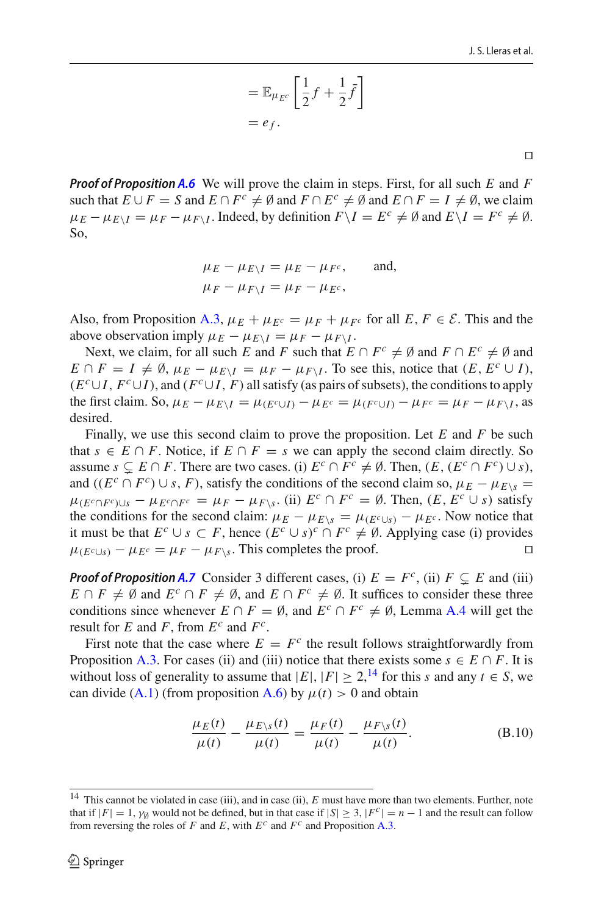$$
= \mathbb{E}_{\mu_{E^c}} \left[ \frac{1}{2} f + \frac{1}{2} \bar{f} \right]
$$
  
=  $e_f$ .

 $\Box$ 

*Proof of Proposition [A.6](#page-20-1)* We will prove the claim in steps. First, for all such *E* and *F* such that  $E \cup F = S$  and  $E \cap F^c \neq \emptyset$  and  $F \cap E^c \neq \emptyset$  and  $E \cap F = I \neq \emptyset$ , we claim  $\mu_E - \mu_{E\setminus I} = \mu_F - \mu_{F\setminus I}$ . Indeed, by definition  $F\setminus I = E^c \neq \emptyset$  and  $E\setminus I = F^c \neq \emptyset$ . So,

$$
\mu_E - \mu_{E\setminus I} = \mu_E - \mu_{F^c}, \quad \text{and,}
$$
  

$$
\mu_F - \mu_{F\setminus I} = \mu_F - \mu_{E^c},
$$

Also, from Proposition [A.3,](#page-19-0)  $\mu_E + \mu_{E^c} = \mu_F + \mu_{F^c}$  for all  $E, F \in \mathcal{E}$ . This and the above observation imply  $\mu_E - \mu_{E\setminus I} = \mu_F - \mu_{F\setminus I}$ .

Next, we claim, for all such *E* and *F* such that  $E \cap F^c \neq \emptyset$  and  $F \cap E^c \neq \emptyset$  and  $E \cap F = I \neq \emptyset$ ,  $\mu_E - \mu_{E \setminus I} = \mu_F - \mu_{F \setminus I}$ . To see this, notice that  $(E, E^c \cup I)$ ,  $(E^c \cup I, F^c \cup I)$ , and  $(F^c \cup I, F)$  all satisfy (as pairs of subsets), the conditions to apply the first claim. So,  $\mu_E - \mu_{E\setminus I} = \mu_{(E^c \cup I)} - \mu_{E^c} = \mu_{(F^c \cup I)} - \mu_{F^c} = \mu_F - \mu_{F\setminus I}$ , as desired.

Finally, we use this second claim to prove the proposition. Let *E* and *F* be such that *s* ∈ *E* ∩ *F*. Notice, if *E* ∩ *F* = *s* we can apply the second claim directly. So assume  $s \subsetneq E \cap F$ . There are two cases. (i)  $E^c \cap F^c \neq \emptyset$ . Then,  $(E, (E^c \cap F^c) \cup s)$ , and ( $(E^c \cap F^c) \cup s$ , *F*), satisfy the conditions of the second claim so,  $\mu_F - \mu_{F\setminus s} =$  $\mu_{(E^c \cap F^c) \cup s} - \mu_{E^c \cap F^c} = \mu_F - \mu_{F \setminus s}$ . (ii)  $E^c \cap F^c = \emptyset$ . Then,  $(E, E^c \cup s)$  satisfy the conditions for the second claim:  $\mu_E - \mu_{E\setminus s} = \mu_{(E^c \cup s)} - \mu_{E^c}$ . Now notice that it must be that  $E^c \cup s \subset F$ , hence  $(E^c \cup s)^c \cap F^c \neq \emptyset$ . Applying case (i) provides  $\mu_{CE \cup c} - \mu_{ES} = \mu_F - \mu_{E \setminus s}$ . This completes the proof. □  $\mu_{(E^c \cup s)} - \mu_{E^c} = \mu_F - \mu_{F \setminus s}$ . This completes the proof.

*Proof of Proposition [A.7](#page-20-2)* Consider 3 different cases, (i)  $E = F^c$ , (ii)  $F \subsetneq E$  and (iii) *E* ∩ *F*  $\neq$  Ø and *E<sup>c</sup>* ∩ *F*  $\neq$  Ø, and *E* ∩ *F<sup>c</sup>*  $\neq$  Ø. It suffices to consider these three conditions since whenever  $E \cap F = \emptyset$ , and  $E^c \cap F^c \neq \emptyset$ , Lemma [A.4](#page-19-1) will get the result for *E* and *F*, from  $E^c$  and  $F^c$ .

First note that the case where  $E = F^c$  the result follows straightforwardly from Proposition [A.3.](#page-19-0) For cases (ii) and (iii) notice that there exists some  $s \in E \cap F$ . It is without loss of generality to assume that  $|E|, |F| \ge 2$ , <sup>[14](#page-27-0)</sup> for this *s* and any  $t \in S$ , we can divide [\(A.1\)](#page-1-1) (from proposition [A.6\)](#page-20-1) by  $\mu(t) > 0$  and obtain

<span id="page-27-1"></span>
$$
\frac{\mu_E(t)}{\mu(t)} - \frac{\mu_{E\setminus s}(t)}{\mu(t)} = \frac{\mu_F(t)}{\mu(t)} - \frac{\mu_{F\setminus s}(t)}{\mu(t)}.
$$
 (B.10)

<span id="page-27-0"></span><sup>&</sup>lt;sup>14</sup> This cannot be violated in case (iii), and in case (ii), *E* must have more than two elements. Further, note that if  $|F| = 1$ ,  $\gamma_0$  would not be defined, but in that case if  $|S| \geq 3$ ,  $|F^c| = n - 1$  and the result can follow from reversing the roles of *F* and *E*, with  $E^c$  and  $F^c$  and Proposition [A.3.](#page-19-0)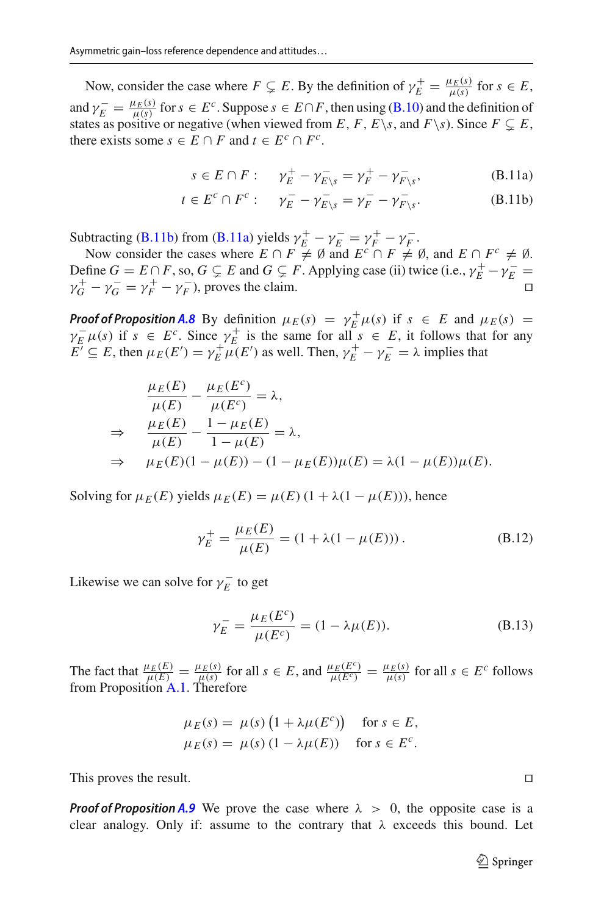Now, consider the case where  $F \subsetneq E$ . By the definition of  $\gamma_E^+ = \frac{\mu_E(s)}{\mu(s)}$  for  $s \in E$ , and  $\gamma_E^- = \frac{\mu_E(s)}{\mu(s)}$  for  $s \in E^c$ . Suppose  $s \in E \cap F$ , then using [\(B.10\)](#page-27-1) and the definition of states as positive or negative (when viewed from *E*, *F*, *E*\*s*, and *F*\*s*). Since  $F \subsetneq E$ , there exists some  $s \in E \cap F$  and  $t \in E^c \cap F^c$ .

<span id="page-28-2"></span><span id="page-28-1"></span>
$$
s \in E \cap F: \quad \gamma_E^+ - \gamma_{E \setminus s}^- = \gamma_F^+ - \gamma_{F \setminus s}^-, \tag{B.11a}
$$

$$
t \in E^c \cap F^c: \quad \gamma_E^- - \gamma_{E\setminus s}^- = \gamma_F^- - \gamma_{F\setminus s}^-. \tag{B.11b}
$$

Subtracting [\(B.11b\)](#page-28-1) from [\(B.11a\)](#page-28-2) yields  $\gamma_E^+ - \gamma_E^- = \gamma_F^+ - \gamma_F^-$ .

Now consider the cases where  $E \cap F \neq \emptyset$  and  $E^c \cap F \neq \emptyset$ , and  $E \cap F^c \neq \emptyset$ . Define  $G = E \cap F$ , so,  $G \subsetneq E$  and  $G \subsetneq F$ . Applying case (ii) twice (i.e.,  $\gamma_E^+ - \gamma_E^- =$  $\gamma_G^+ - \gamma_G^- = \gamma_F^+ - \gamma_F^-$ , proves the claim.

*Proof of Proposition [A.8](#page-20-0)* By definition  $\mu_E(s) = \gamma_E^+ \mu(s)$  if  $s \in E$  and  $\mu_E(s) =$  $\gamma_{E}^{-} \mu(s)$  if  $s \in E^{c}$ . Since  $\gamma_{E}^{+}$  is the same for all  $s \in E$ , it follows that for any  $E' \subseteq E$ , then  $\mu_E(E') = \gamma_E^+ \mu(E')$  as well. Then,  $\gamma_E^+ - \gamma_E^- = \lambda$  implies that

$$
\frac{\mu_E(E)}{\mu(E)} - \frac{\mu_E(E^c)}{\mu(E^c)} = \lambda,
$$
\n
$$
\Rightarrow \frac{\mu_E(E)}{\mu(E)} - \frac{1 - \mu_E(E)}{1 - \mu(E)} = \lambda,
$$
\n
$$
\Rightarrow \mu_E(E)(1 - \mu(E)) - (1 - \mu_E(E))\mu(E) = \lambda(1 - \mu(E))\mu(E).
$$

Solving for  $\mu_E(E)$  yields  $\mu_E(E) = \mu(E) (1 + \lambda(1 - \mu(E))),$  hence

$$
\gamma_E^+ = \frac{\mu_E(E)}{\mu(E)} = (1 + \lambda(1 - \mu(E))).
$$
 (B.12)

Likewise we can solve for  $\gamma_E^-$  to get

<span id="page-28-0"></span>
$$
\gamma_E^- = \frac{\mu_E(E^c)}{\mu(E^c)} = (1 - \lambda \mu(E)).
$$
 (B.13)

The fact that  $\frac{\mu_E(E)}{\mu(E)} = \frac{\mu_E(s)}{\mu(s)}$  for all  $s \in E$ , and  $\frac{\mu_E(E^c)}{\mu(E^c)} = \frac{\mu_E(s)}{\mu(s)}$  for all  $s \in E^c$  follows from Proposition [A.1.](#page-18-0) Therefore

$$
\mu_E(s) = \mu(s) \left( 1 + \lambda \mu(E^c) \right) \quad \text{for } s \in E,
$$
  

$$
\mu_E(s) = \mu(s) \left( 1 - \lambda \mu(E) \right) \quad \text{for } s \in E^c.
$$

This proves the result.

*Proof of Proposition* [A.9](#page-21-1) We prove the case where  $\lambda > 0$ , the opposite case is a clear analogy. Only if: assume to the contrary that  $\lambda$  exceeds this bound. Let

 $\mathcal{D}$  Springer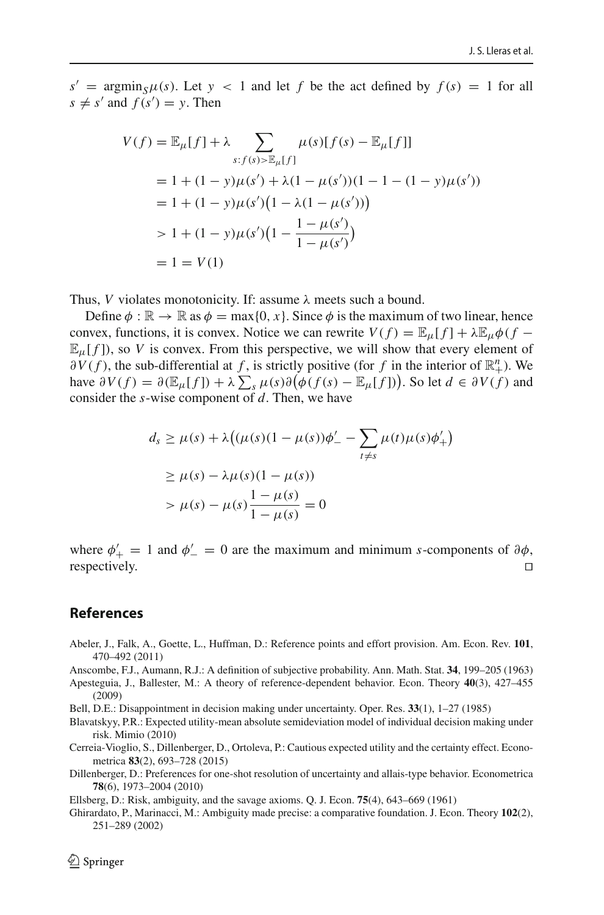$s' = \arg\min_{S} \mu(S)$ . Let  $y < 1$  and let *f* be the act defined by  $f(s) = 1$  for all  $s \neq s'$  and  $f(s') = y$ . Then

$$
V(f) = \mathbb{E}_{\mu}[f] + \lambda \sum_{s:f(s) > \mathbb{E}_{\mu}[f]} \mu(s)[f(s) - \mathbb{E}_{\mu}[f]]
$$
  
= 1 + (1 - y)\mu(s') + \lambda(1 - \mu(s'))(1 - 1 - (1 - y)\mu(s'))  
= 1 + (1 - y)\mu(s')(1 - \lambda(1 - \mu(s')))  
> 1 + (1 - y)\mu(s')(1 - \frac{1 - \mu(s')}{1 - \mu(s')})  
= 1 = V(1)

Thus, *V* violates monotonicity. If: assume  $\lambda$  meets such a bound.

Define  $\phi : \mathbb{R} \to \mathbb{R}$  as  $\phi = \max\{0, x\}$ . Since  $\phi$  is the maximum of two linear, hence convex, functions, it is convex. Notice we can rewrite  $V(f) = \mathbb{E}_{\mu}[f] + \lambda \mathbb{E}_{\mu} \phi(f \mathbb{E}_{\mu}[f]$ , so *V* is convex. From this perspective, we will show that every element of  $\partial V(f)$ , the sub-differential at *f*, is strictly positive (for *f* in the interior of  $\mathbb{R}^n_+$ ). We have  $\partial V(f) = \partial (\mathbb{E}_{\mu}[f]) + \lambda \sum_{s} \mu(s) \partial (\phi(f(s) - \mathbb{E}_{\mu}[f]))$ . So let  $d \in \partial V(f)$  and consider the *s*-wise component of *d*. Then, we have

$$
d_s \ge \mu(s) + \lambda \big( (\mu(s)(1 - \mu(s))\phi'_{-} - \sum_{t \ne s} \mu(t)\mu(s)\phi'_{+} \big)
$$
  
 
$$
\ge \mu(s) - \lambda \mu(s)(1 - \mu(s))
$$
  
 
$$
> \mu(s) - \mu(s)\frac{1 - \mu(s)}{1 - \mu(s)} = 0
$$

where  $\phi'_{+} = 1$  and  $\phi'_{-} = 0$  are the maximum and minimum *s*-components of  $\partial \phi$ , respectively.  $\Box$ 

# **References**

<span id="page-29-1"></span>Abeler, J., Falk, A., Goette, L., Huffman, D.: Reference points and effort provision. Am. Econ. Rev. **101**, 470–492 (2011)

<span id="page-29-2"></span>Anscombe, F.J., Aumann, R.J.: A definition of subjective probability. Ann. Math. Stat. **34**, 199–205 (1963)

- <span id="page-29-5"></span>Apesteguia, J., Ballester, M.: A theory of reference-dependent behavior. Econ. Theory **40**(3), 427–455 (2009)
- <span id="page-29-0"></span>Bell, D.E.: Disappointment in decision making under uncertainty. Oper. Res. **33**(1), 1–27 (1985)
- <span id="page-29-6"></span>Blavatskyy, P.R.: Expected utility-mean absolute semideviation model of individual decision making under risk. Mimio (2010)
- <span id="page-29-8"></span>Cerreia-Vioglio, S., Dillenberger, D., Ortoleva, P.: Cautious expected utility and the certainty effect. Econometrica **83**(2), 693–728 (2015)
- <span id="page-29-7"></span>Dillenberger, D.: Preferences for one-shot resolution of uncertainty and allais-type behavior. Econometrica **78**(6), 1973–2004 (2010)
- <span id="page-29-4"></span>Ellsberg, D.: Risk, ambiguity, and the savage axioms. Q. J. Econ. **75**(4), 643–669 (1961)
- <span id="page-29-3"></span>Ghirardato, P., Marinacci, M.: Ambiguity made precise: a comparative foundation. J. Econ. Theory **102**(2), 251–289 (2002)